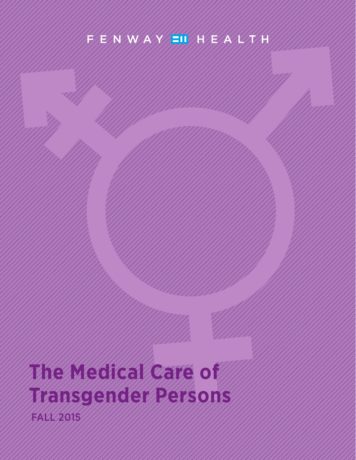## FIEIN NY AXIE I III E AVENIN

# **The Medical Care of Transgender Persons** FALL 2015

THE MEDICAL CARE OF TRANSGENDER PERSONS **1**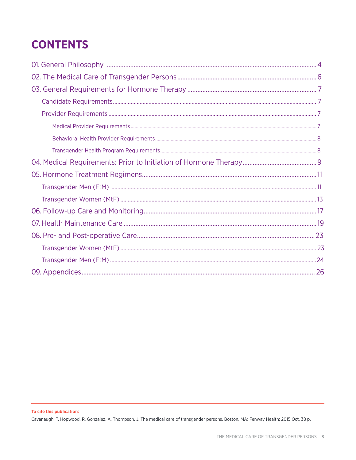## **CONTENTS**

Cavanaugh, T, Hopwood, R, Gonzalez, A, Thompson, J. The medical care of transgender persons. Boston, MA: Fenway Health; 2015 Oct. 38 p.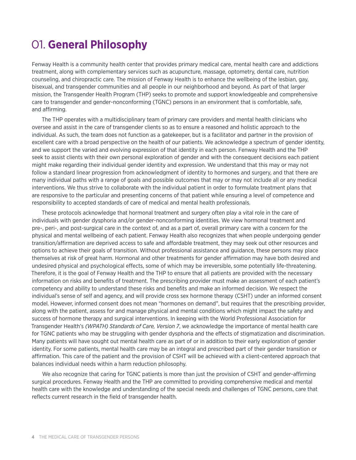## 01. **General Philosophy**

Fenway Health is a community health center that provides primary medical care, mental health care and addictions treatment, along with complementary services such as acupuncture, massage, optometry, dental care, nutrition counseling, and chiropractic care. The mission of Fenway Health is to enhance the wellbeing of the lesbian, gay, bisexual, and transgender communities and all people in our neighborhood and beyond. As part of that larger mission, the Transgender Health Program (THP) seeks to promote and support knowledgeable and comprehensive care to transgender and gender-nonconforming (TGNC) persons in an environment that is comfortable, safe, and affirming.

The THP operates with a multidisciplinary team of primary care providers and mental health clinicians who oversee and assist in the care of transgender clients so as to ensure a reasoned and holistic approach to the individual. As such, the team does not function as a gatekeeper, but is a facilitator and partner in the provision of excellent care with a broad perspective on the health of our patients. We acknowledge a spectrum of gender identity, and we support the varied and evolving expression of that identity in each person. Fenway Health and the THP seek to assist clients with their own personal exploration of gender and with the consequent decisions each patient might make regarding their individual gender identity and expression. We understand that this may or may not follow a standard linear progression from acknowledgment of identity to hormones and surgery, and that there are many individual paths with a range of goals and possible outcomes that may or may not include all or any medical interventions. We thus strive to collaborate with the individual patient in order to formulate treatment plans that are responsive to the particular and presenting concerns of that patient while ensuring a level of competence and responsibility to accepted standards of care of medical and mental health professionals.

These protocols acknowledge that hormonal treatment and surgery often play a vital role in the care of individuals with gender dysphoria and/or gender-nonconforming identities. We view hormonal treatment and pre-, peri-, and post-surgical care in the context of, and as a part of, overall primary care with a concern for the physical and mental wellbeing of each patient. Fenway Health also recognizes that when people undergoing gender transition/affirmation are deprived access to safe and affordable treatment, they may seek out other resources and options to achieve their goals of transition. Without professional assistance and guidance, these persons may place themselves at risk of great harm. Hormonal and other treatments for gender affirmation may have both desired and undesired physical and psychological effects, some of which may be irreversible, some potentially life-threatening. Therefore, it is the goal of Fenway Health and the THP to ensure that all patients are provided with the necessary information on risks and benefits of treatment. The prescribing provider must make an assessment of each patient's competency and ability to understand these risks and benefits and make an informed decision. We respect the individual's sense of self and agency, and will provide cross sex hormone therapy (CSHT) under an informed consent model. However, informed consent does not mean "hormones on demand", but requires that the prescribing provider, along with the patient, assess for and manage physical and mental conditions which might impact the safety and success of hormone therapy and surgical interventions. In keeping with the World Professional Association for Transgender Health's *(WPATH) Standards of Care, Version 7*, we acknowledge the importance of mental health care for TGNC patients who may be struggling with gender dysphoria and the effects of stigmatization and discrimination. Many patients will have sought out mental health care as part of or in addition to their early exploration of gender identity. For some patients, mental health care may be an integral and prescribed part of their gender transition or affirmation. This care of the patient and the provision of CSHT will be achieved with a client-centered approach that balances individual needs within a harm reduction philosophy.

We also recognize that caring for TGNC patients is more than just the provision of CSHT and gender-affirming surgical procedures. Fenway Health and the THP are committed to providing comprehensive medical and mental health care with the knowledge and understanding of the special needs and challenges of TGNC persons, care that reflects current research in the field of transgender health.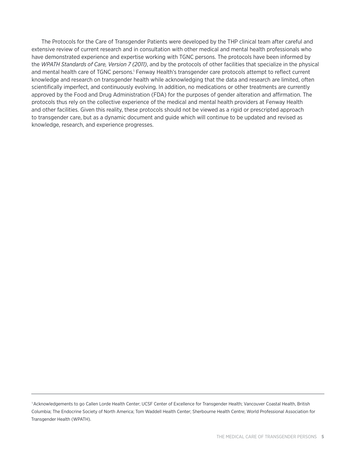The Protocols for the Care of Transgender Patients were developed by the THP clinical team after careful and extensive review of current research and in consultation with other medical and mental health professionals who have demonstrated experience and expertise working with TGNC persons. The protocols have been informed by the *WPATH Standards of Care, Version 7 (2011)*, and by the protocols of other facilities that specialize in the physical and mental health care of TGNC persons.<sup>1</sup> Fenway Health's transgender care protocols attempt to reflect current knowledge and research on transgender health while acknowledging that the data and research are limited, often scientifically imperfect, and continuously evolving. In addition, no medications or other treatments are currently approved by the Food and Drug Administration (FDA) for the purposes of gender alteration and affirmation. The protocols thus rely on the collective experience of the medical and mental health providers at Fenway Health and other facilities. Given this reality, these protocols should not be viewed as a rigid or prescripted approach to transgender care, but as a dynamic document and guide which will continue to be updated and revised as knowledge, research, and experience progresses.

<sup>1</sup> Acknowledgements to go Callen Lorde Health Center; UCSF Center of Excellence for Transgender Health; Vancouver Coastal Health, British Columbia; The Endocrine Society of North America; Tom Waddell Health Center; Sherbourne Health Centre; World Professional Association for Transgender Health (WPATH).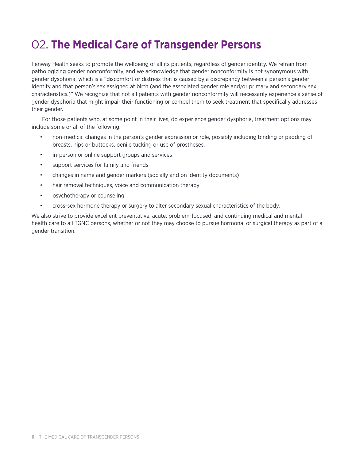## 02. **The Medical Care of Transgender Persons**

Fenway Health seeks to promote the wellbeing of all its patients, regardless of gender identity. We refrain from pathologizing gender nonconformity, and we acknowledge that gender nonconformity is not synonymous with gender dysphoria, which is a "discomfort or distress that is caused by a discrepancy between a person's gender identity and that person's sex assigned at birth (and the associated gender role and/or primary and secondary sex characteristics.)" We recognize that not all patients with gender nonconformity will necessarily experience a sense of gender dysphoria that might impair their functioning or compel them to seek treatment that specifically addresses their gender.

For those patients who, at some point in their lives, do experience gender dysphoria, treatment options may include some or all of the following:

- non-medical changes in the person's gender expression or role, possibly including binding or padding of breasts, hips or buttocks, penile tucking or use of prostheses.
- in-person or online support groups and services
- support services for family and friends
- changes in name and gender markers (socially and on identity documents)
- hair removal techniques, voice and communication therapy
- psychotherapy or counseling
- cross-sex hormone therapy or surgery to alter secondary sexual characteristics of the body.

We also strive to provide excellent preventative, acute, problem-focused, and continuing medical and mental health care to all TGNC persons, whether or not they may choose to pursue hormonal or surgical therapy as part of a gender transition.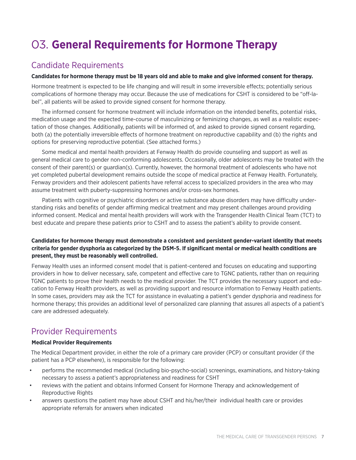## 03. **General Requirements for Hormone Therapy**

### Candidate Requirements

### **Candidates for hormone therapy must be 18 years old and able to make and give informed consent for therapy.**

Hormone treatment is expected to be life changing and will result in some irreversible effects; potentially serious complications of hormone therapy may occur. Because the use of medications for CSHT is considered to be "off-label", all patients will be asked to provide signed consent for hormone therapy.

The informed consent for hormone treatment will include information on the intended benefits, potential risks, medication usage and the expected time-course of masculinizing or feminizing changes, as well as a realistic expectation of those changes. Additionally, patients will be informed of, and asked to provide signed consent regarding, both (a) the potentially irreversible effects of hormone treatment on reproductive capability and (b) the rights and options for preserving reproductive potential. (See attached forms.)

Some medical and mental health providers at Fenway Health do provide counseling and support as well as general medical care to gender non-conforming adolescents. Occasionally, older adolescents may be treated with the consent of their parent(s) or guardian(s). Currently, however, the hormonal treatment of adolescents who have not yet completed pubertal development remains outside the scope of medical practice at Fenway Health. Fortunately, Fenway providers and their adolescent patients have referral access to specialized providers in the area who may assume treatment with puberty-suppressing hormones and/or cross-sex hormones.

Patients with cognitive or psychiatric disorders or active substance abuse disorders may have difficulty understanding risks and benefits of gender affirming medical treatment and may present challenges around providing informed consent. Medical and mental health providers will work with the Transgender Health Clinical Team (TCT) to best educate and prepare these patients prior to CSHT and to assess the patient's ability to provide consent.

### **Candidates for hormone therapy must demonstrate a consistent and persistent gender-variant identity that meets criteria for gender dysphoria as categorized by the DSM-5. If significant mental or medical health conditions are present, they must be reasonably well controlled.**

Fenway Health uses an informed consent model that is patient-centered and focuses on educating and supporting providers in how to deliver necessary, safe, competent and effective care to TGNC patients, rather than on requiring TGNC patients to prove their health needs to the medical provider. The TCT provides the necessary support and education to Fenway Health providers, as well as providing support and resource information to Fenway Health patients. In some cases, providers may ask the TCT for assistance in evaluating a patient's gender dysphoria and readiness for hormone therapy; this provides an additional level of personalized care planning that assures all aspects of a patient's care are addressed adequately.

### Provider Requirements

### **Medical Provider Requirements**

The Medical Department provider, in either the role of a primary care provider (PCP) or consultant provider (if the patient has a PCP elsewhere), is responsible for the following:

- performs the recommended medical (including bio-psycho-social) screenings, examinations, and history-taking necessary to assess a patient's appropriateness and readiness for CSHT
- reviews with the patient and obtains Informed Consent for Hormone Therapy and acknowledgement of Reproductive Rights
- answers questions the patient may have about CSHT and his/her/their individual health care or provides appropriate referrals for answers when indicated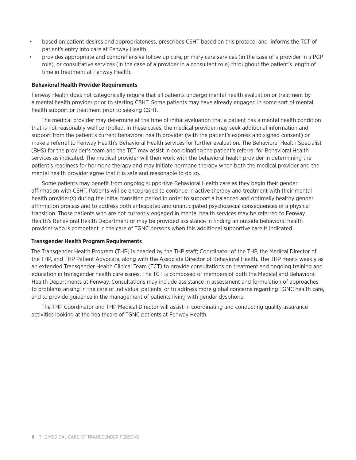- based on patient desires and appropriateness, prescribes CSHT based on this protocol and informs the TCT of patient's entry into care at Fenway Health
- provides appropriate and comprehensive follow up care, primary care services (in the case of a provider in a PCP role), or consultative services (in the case of a provider in a consultant role) throughout the patient's length of time in treatment at Fenway Health.

#### **Behavioral Health Provider Requirements**

Fenway Health does not categorically require that all patients undergo mental health evaluation or treatment by a mental health provider prior to starting CSHT. Some patients may have already engaged in some sort of mental health support or treatment prior to seeking CSHT.

The medical provider may determine at the time of initial evaluation that a patient has a mental health condition that is not reasonably well controlled. In these cases, the medical provider may seek additional information and support from the patient's current behavioral health provider (with the patient's express and signed consent) or make a referral to Fenway Health's Behavioral Health services for further evaluation. The Behavioral Health Specialist (BHS) for the provider's team and the TCT may assist in coordinating the patient's referral for Behavioral Health services as indicated. The medical provider will then work with the behavioral health provider in determining the patient's readiness for hormone therapy and may initiate hormone therapy when both the medical provider and the mental health provider agree that it is safe and reasonable to do so.

Some patients may benefit from ongoing supportive Behavioral Health care as they begin their gender affirmation with CSHT. Patients will be encouraged to continue in active therapy and treatment with their mental health provider(s) during the initial transition period in order to support a balanced and optimally healthy gender affirmation process and to address both anticipated and unanticipated psychosocial consequences of a physical transition. Those patients who are not currently engaged in mental health services may be referred to Fenway Health's Behavioral Health Department or may be provided assistance in finding an outside behavioral health provider who is competent in the care of TGNC persons when this additional supportive care is indicated.

#### **Transgender Health Program Requirements**

The Transgender Health Program (THP) is headed by the THP staff; Coordinator of the THP, the Medical Director of the THP, and THP Patient Advocate, along with the Associate Director of Behavioral Health. The THP meets weekly as an extended Transgender Health Clinical Team (TCT) to provide consultations on treatment and ongoing training and education in transgender health care issues. The TCT is composed of members of both the Medical and Behavioral Health Departments at Fenway. Consultations may include assistance in assessment and formulation of approaches to problems arising in the care of individual patients, or to address more global concerns regarding TGNC health care, and to provide guidance in the management of patients living with gender dysphoria.

The THP Coordinator and THP Medical Director will assist in coordinating and conducting quality assurance activities looking at the healthcare of TGNC patients at Fenway Health.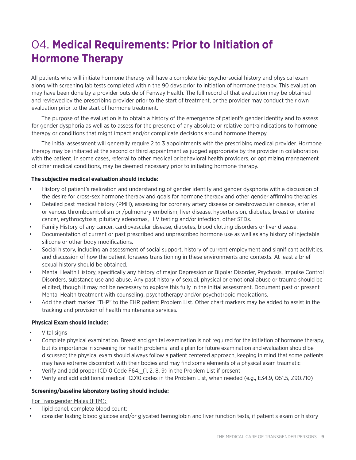## 04. **Medical Requirements: Prior to Initiation of Hormone Therapy**

All patients who will initiate hormone therapy will have a complete bio-psycho-social history and physical exam along with screening lab tests completed within the 90 days prior to initiation of hormone therapy. This evaluation may have been done by a provider outside of Fenway Health. The full record of that evaluation may be obtained and reviewed by the prescribing provider prior to the start of treatment, or the provider may conduct their own evaluation prior to the start of hormone treatment.

The purpose of the evaluation is to obtain a history of the emergence of patient's gender identity and to assess for gender dysphoria as well as to assess for the presence of any absolute or relative contraindications to hormone therapy or conditions that might impact and/or complicate decisions around hormone therapy.

The initial assessment will generally require 2 to 3 appointments with the prescribing medical provider. Hormone therapy may be initiated at the second or third appointment as judged appropriate by the provider in collaboration with the patient. In some cases, referral to other medical or behavioral health providers, or optimizing management of other medical conditions, may be deemed necessary prior to initiating hormone therapy.

### **The subjective medical evaluation should include:**

- History of patient's realization and understanding of gender identity and gender dysphoria with a discussion of the desire for cross-sex hormone therapy and goals for hormone therapy and other gender affirming therapies.
- Detailed past medical history (PMH), assessing for coronary artery disease or cerebrovascular disease, arterial or venous thromboembolism or /pulmonary embolism, liver disease, hypertension, diabetes, breast or uterine cancer, erythrocytosis, pituitary adenomas, HIV testing and/or infection, other STDs.
- Family History of any cancer, cardiovascular disease, diabetes, blood clotting disorders or liver disease.
- Documentation of current or past prescribed and unprescribed hormone use as well as any history of injectable silicone or other body modifications.
- Social history, including an assessment of social support, history of current employment and significant activities, and discussion of how the patient foresees transitioning in these environments and contexts. At least a brief sexual history should be obtained.
- Mental Health History, specifically any history of major Depression or Bipolar Disorder, Psychosis, Impulse Control Disorders, substance use and abuse. Any past history of sexual, physical or emotional abuse or trauma should be elicited, though it may not be necessary to explore this fully in the initial assessment. Document past or present Mental Health treatment with counseling, psychotherapy and/or psychotropic medications.
- Add the chart marker "THP" to the EHR patient Problem List. Other chart markers may be added to assist in the tracking and provision of health maintenance services.

### **Physical Exam should include:**

- Vital signs
- Complete physical examination. Breast and genital examination is not required for the initiation of hormone therapy, but its importance in screening for health problems and a plan for future examination and evaluation should be discussed; the physical exam should always follow a patient centered approach, keeping in mind that some patients may have extreme discomfort with their bodies and may find some elements of a physical exam traumatic
- Verify and add proper ICD10 Code F64.\_(1, 2, 8, 9) in the Problem List if present
- Verify and add additional medical ICD10 codes in the Problem List, when needed (e.g., E34.9, Q51.5, Z90.710)

### **Screening/baseline laboratory testing should include:**

### For Transgender Males (FTM):

- lipid panel, complete blood count;
- consider fasting blood glucose and/or glycated hemoglobin and liver function tests, if patient's exam or history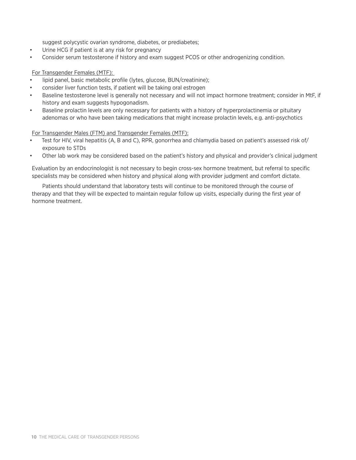suggest polycystic ovarian syndrome, diabetes, or prediabetes;

- Urine HCG if patient is at any risk for pregnancy
- Consider serum testosterone if history and exam suggest PCOS or other androgenizing condition.

### For Transgender Females (MTF):

- lipid panel, basic metabolic profile (lytes, glucose, BUN/creatinine);
- consider liver function tests, if patient will be taking oral estrogen
- Baseline testosterone level is generally not necessary and will not impact hormone treatment; consider in MtF, if history and exam suggests hypogonadism.
- Baseline prolactin levels are only necessary for patients with a history of hyperprolactinemia or pituitary adenomas or who have been taking medications that might increase prolactin levels, e.g. anti-psychotics

For Transgender Males (FTM) and Transgender Females (MTF):

- Test for HIV, viral hepatitis (A, B and C), RPR, gonorrhea and chlamydia based on patient's assessed risk of/ exposure to STDs
- Other lab work may be considered based on the patient's history and physical and provider's clinical judgment

Evaluation by an endocrinologist is not necessary to begin cross-sex hormone treatment, but referral to specific specialists may be considered when history and physical along with provider judgment and comfort dictate.

Patients should understand that laboratory tests will continue to be monitored through the course of therapy and that they will be expected to maintain regular follow up visits, especially during the first year of hormone treatment.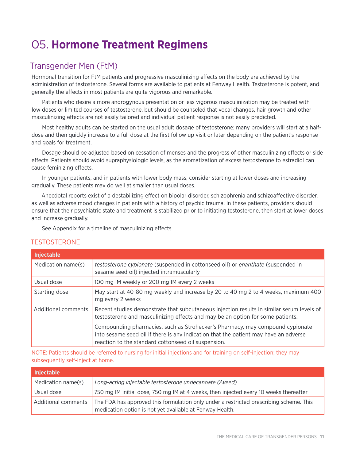## 05. **Hormone Treatment Regimens**

### Transgender Men (FtM)

Hormonal transition for FtM patients and progressive masculinizing effects on the body are achieved by the administration of testosterone. Several forms are available to patients at Fenway Health. Testosterone is potent, and generally the effects in most patients are quite vigorous and remarkable.

Patients who desire a more androgynous presentation or less vigorous masculinization may be treated with low doses or limited courses of testosterone, but should be counseled that vocal changes, hair growth and other masculinizing effects are not easily tailored and individual patient response is not easily predicted.

Most healthy adults can be started on the usual adult dosage of testosterone; many providers will start at a halfdose and then quickly increase to a full dose at the first follow up visit or later depending on the patient's response and goals for treatment.

Dosage should be adjusted based on cessation of menses and the progress of other masculinizing effects or side effects. Patients should avoid supraphysiologic levels, as the aromatization of excess testosterone to estradiol can cause feminizing effects.

In younger patients, and in patients with lower body mass, consider starting at lower doses and increasing gradually. These patients may do well at smaller than usual doses.

Anecdotal reports exist of a destabilizing effect on bipolar disorder, schizophrenia and schizoaffective disorder, as well as adverse mood changes in patients with a history of psychic trauma. In these patients, providers should ensure that their psychiatric state and treatment is stabilized prior to initiating testosterone, then start at lower doses and increase gradually.

See Appendix for a timeline of masculinizing effects.

### TESTOSTERONE

| <b>Injectable</b>   |                                                                                                                                                                                                                              |
|---------------------|------------------------------------------------------------------------------------------------------------------------------------------------------------------------------------------------------------------------------|
| Medication name(s)  | <i>testosterone cypionate</i> (suspended in cottonseed oil) or enanthate (suspended in<br>sesame seed oil) injected intramuscularly                                                                                          |
| Usual dose          | 100 mg IM weekly or 200 mg IM every 2 weeks                                                                                                                                                                                  |
| Starting dose       | May start at 40-80 mg weekly and increase by 20 to 40 mg 2 to 4 weeks, maximum 400<br>mg every 2 weeks                                                                                                                       |
| Additional comments | Recent studies demonstrate that subcutaneous injection results in similar serum levels of<br>testosterone and masculinizing effects and may be an option for some patients.                                                  |
|                     | Compounding pharmacies, such as Strohecker's Pharmacy, may compound cypionate<br>into sesame seed oil if there is any indication that the patient may have an adverse<br>reaction to the standard cottonseed oil suspension. |

NOTE: Patients should be referred to nursing for initial injections and for training on self-injection; they may subsequently self-inject at home.

| <b>Injectable</b>   |                                                                                                                                                    |
|---------------------|----------------------------------------------------------------------------------------------------------------------------------------------------|
| Medication name(s)  | Long-acting injectable testosterone undecanoate (Aveed)                                                                                            |
| Usual dose          | 750 mg IM initial dose, 750 mg IM at 4 weeks, then injected every 10 weeks thereafter                                                              |
| Additional comments | The FDA has approved this formulation only under a restricted prescribing scheme. This<br>medication option is not yet available at Fenway Health. |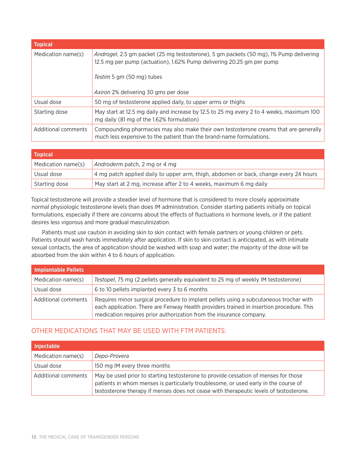| <b>Topical</b>      |                                                                                                                                                                 |
|---------------------|-----------------------------------------------------------------------------------------------------------------------------------------------------------------|
| Medication name(s)  | Androgel, 2.5 gm packet (25 mg testosterone), 5 gm packets (50 mg), 1% Pump delivering<br>12.5 mg per pump (actuation), 1.62% Pump delivering 20.25 gm per pump |
|                     | Testim 5 gm (50 mg) tubes                                                                                                                                       |
|                     | <i>Axiron</i> 2% delivering 30 gms per dose                                                                                                                     |
| Usual dose          | 50 mg of testosterone applied daily, to upper arms or thighs                                                                                                    |
| Starting dose       | May start at 12.5 mg daily and increase by 12.5 to 25 mg every 2 to 4 weeks, maximum 100<br>mg daily (81 mg of the 1.62% formulation)                           |
| Additional comments | Compounding pharmacies may also make their own testosterone creams that are generally<br>much less expensive to the patient than the brand-name formulations.   |

| <b>Topical</b>     |                                                                                      |
|--------------------|--------------------------------------------------------------------------------------|
| Medication name(s) | Androderm patch, 2 mg or 4 mg                                                        |
| Usual dose         | 4 mg patch applied daily to upper arm, thigh, abdomen or back, change every 24 hours |
| Starting dose      | May start at 2 mg, increase after 2 to 4 weeks, maximum 6 mg daily                   |

Topical testosterone will provide a steadier level of hormone that is considered to more closely approximate normal physiologic testosterone levels than does IM administration. Consider starting patients initially on topical formulations, especially if there are concerns about the effects of fluctuations in hormone levels, or if the patient desires less vigorous and more gradual masculinization.

Patients must use caution in avoiding skin to skin contact with female partners or young children or pets. Patients should wash hands immediately after application. If skin to skin contact is anticipated, as with intimate sexual contacts, the area of application should be washed with soap and water; the majority of the dose will be absorbed from the skin within 4 to 6 hours of application.

| <b>Implantable Pellets</b> |                                                                                                                                                                                                                                                           |
|----------------------------|-----------------------------------------------------------------------------------------------------------------------------------------------------------------------------------------------------------------------------------------------------------|
| Medication name(s)         | Testopel, 75 mg (2 pellets generally equivalent to 25 mg of weekly IM testosterone)                                                                                                                                                                       |
| Usual dose                 | 6 to 10 pellets implanted every 3 to 6 months                                                                                                                                                                                                             |
| Additional comments        | Requires minor surgical procedure to implant pellets using a subcutaneous trochar with<br>each application. There are Fenway Health providers trained in insertion procedure. This<br>medication requires prior authorization from the insurance company. |

### OTHER MEDICATIONS THAT MAY BE USED WITH FTM PATIENTS:

| <b>Injectable</b>   |                                                                                                                                                                                                                                                                      |
|---------------------|----------------------------------------------------------------------------------------------------------------------------------------------------------------------------------------------------------------------------------------------------------------------|
| Medication name(s)  | Depo-Provera                                                                                                                                                                                                                                                         |
| Usual dose          | 150 mg IM every three months                                                                                                                                                                                                                                         |
| Additional comments | May be used prior to starting testosterone to provide cessation of menses for those<br>patients in whom menses is particularly troublesome, or used early in the course of<br>testosterone therapy if menses does not cease with therapeutic levels of testosterone. |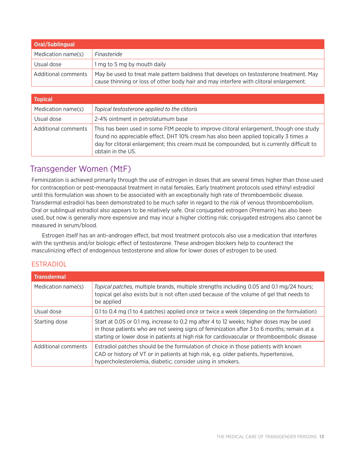| <b>Oral/Sublingual</b> |                                                                                                                                                                                   |
|------------------------|-----------------------------------------------------------------------------------------------------------------------------------------------------------------------------------|
| Medication name(s)     | Finasteride                                                                                                                                                                       |
| Usual dose             | 1 mg to 5 mg by mouth daily                                                                                                                                                       |
| Additional comments    | May be used to treat male pattern baldness that develops on testosterone treatment. May<br>cause thinning or loss of other body hair and may interfere with clitoral enlargement. |

| <b>Topical</b>      |                                                                                                                                                                                                                                                                                                     |
|---------------------|-----------------------------------------------------------------------------------------------------------------------------------------------------------------------------------------------------------------------------------------------------------------------------------------------------|
| Medication name(s)  | Topical testosterone applied to the clitoris                                                                                                                                                                                                                                                        |
| Usual dose          | 2-4% ointment in petrolatumum base                                                                                                                                                                                                                                                                  |
| Additional comments | This has been used in some FtM people to improve clitoral enlargement, though one study<br>found no appreciable effect. DHT 10% cream has also been applied topically 3 times a<br>day for clitoral enlargement; this cream must be compounded, but is currently difficult to<br>obtain in the U.S. |

### Transgender Women (MtF)

Feminization is achieved primarily through the use of estrogen in doses that are several times higher than those used for contraception or post-menopausal treatment in natal females. Early treatment protocols used ethinyl estradiol until this formulation was shown to be associated with an exceptionally high rate of thromboembolic disease. Transdermal estradiol has been demonstrated to be much safer in regard to the risk of venous thromboembolism. Oral or sublingual estradiol also appears to be relatively safe. Oral conjugated estrogen (Premarin) has also been used, but now is generally more expensive and may incur a higher clotting risk; conjugated estrogens also cannot be measured in serum/blood.

Estrogen itself has an anti-androgen effect, but most treatment protocols also use a medication that interferes with the synthesis and/or biologic effect of testosterone. These androgen blockers help to counteract the masculinizing effect of endogenous testosterone and allow for lower doses of estrogen to be used.

### ESTRADIOL

| <b>Transdermal</b>  |                                                                                                                                                                                                                                                                                          |
|---------------------|------------------------------------------------------------------------------------------------------------------------------------------------------------------------------------------------------------------------------------------------------------------------------------------|
| Medication name(s)  | Topical patches, multiple brands, multiple strengths including 0.05 and 0.1 mg/24 hours;<br>topical gel also exists but is not often used because of the volume of gel that needs to<br>be applied                                                                                       |
| Usual dose          | 0.1 to 0.4 mg (1 to 4 patches) applied once or twice a week (depending on the formulation)                                                                                                                                                                                               |
| Starting dose       | Start at 0.05 or 0.1 mg, increase to 0.2 mg after 4 to 12 weeks; higher doses may be used<br>in those patients who are not seeing signs of feminization after 3 to 6 months; remain at a<br>starting or lower dose in patients at high risk for cardiovascular or thromboembolic disease |
| Additional comments | Estradiol patches should be the formulation of choice in those patients with known<br>CAD or history of VT or in patients at high risk, e.g. older patients, hypertensive,<br>hypercholesterolemia, diabetic; consider using in smokers.                                                 |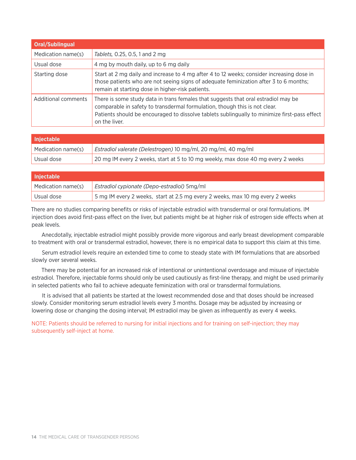| <b>Oral/Sublingual</b> |                                                                                                                                                                                                                                                                                   |
|------------------------|-----------------------------------------------------------------------------------------------------------------------------------------------------------------------------------------------------------------------------------------------------------------------------------|
| Medication name(s)     | Tablets, 0.25, 0.5, 1 and 2 mg                                                                                                                                                                                                                                                    |
| Usual dose             | 4 mg by mouth daily, up to 6 mg daily                                                                                                                                                                                                                                             |
| Starting dose          | Start at 2 mg daily and increase to 4 mg after 4 to 12 weeks; consider increasing dose in<br>those patients who are not seeing signs of adequate feminization after 3 to 6 months;<br>remain at starting dose in higher-risk patients.                                            |
| Additional comments    | There is some study data in trans females that suggests that oral estradiol may be<br>comparable in safety to transdermal formulation, though this is not clear.<br>Patients should be encouraged to dissolve tablets sublingually to minimize first-pass effect<br>on the liver. |

| <b>Iniectable</b>  |                                                                                  |
|--------------------|----------------------------------------------------------------------------------|
| Medication name(s) | Estradiol valerate (Delestrogen) 10 mg/ml, 20 mg/ml, 40 mg/ml                    |
| Usual dose         | 20 mg IM every 2 weeks, start at 5 to 10 mg weekly, max dose 40 mg every 2 weeks |

| <b>Injectable</b>  |                                                                               |
|--------------------|-------------------------------------------------------------------------------|
| Medication name(s) | Estradiol cypionate (Depo-estradiol) 5mg/ml                                   |
| Usual dose         | 5 mg IM every 2 weeks, start at 2.5 mg every 2 weeks, max 10 mg every 2 weeks |

There are no studies comparing benefits or risks of injectable estradiol with transdermal or oral formulations. IM injection does avoid first-pass effect on the liver, but patients might be at higher risk of estrogen side effects when at peak levels.

Anecdotally, injectable estradiol might possibly provide more vigorous and early breast development comparable to treatment with oral or transdermal estradiol, however, there is no empirical data to support this claim at this time.

Serum estradiol levels require an extended time to come to steady state with IM formulations that are absorbed slowly over several weeks.

There may be potential for an increased risk of intentional or unintentional overdosage and misuse of injectable estradiol. Therefore, injectable forms should only be used cautiously as first-line therapy, and might be used primarily in selected patients who fail to achieve adequate feminization with oral or transdermal formulations.

It is advised that all patients be started at the lowest recommended dose and that doses should be increased slowly. Consider monitoring serum estradiol levels every 3 months. Dosage may be adjusted by increasing or lowering dose or changing the dosing interval; IM estradiol may be given as infrequently as every 4 weeks.

NOTE: Patients should be referred to nursing for initial injections and for training on self-injection; they may subsequently self-inject at home.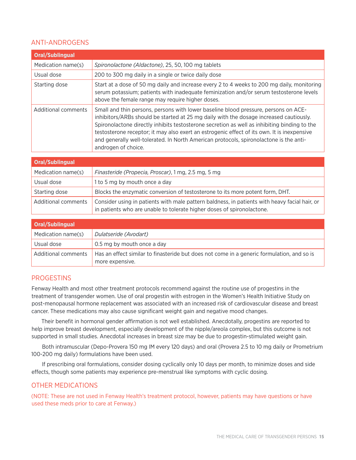### ANTI-ANDROGENS

| <b>Oral/Sublingual</b> |                                                                                                                                                                                                                                                                                                                                                                                                                                                                                               |
|------------------------|-----------------------------------------------------------------------------------------------------------------------------------------------------------------------------------------------------------------------------------------------------------------------------------------------------------------------------------------------------------------------------------------------------------------------------------------------------------------------------------------------|
| Medication name(s)     | Spironolactone (Aldactone), 25, 50, 100 mg tablets                                                                                                                                                                                                                                                                                                                                                                                                                                            |
| Usual dose             | 200 to 300 mg daily in a single or twice daily dose                                                                                                                                                                                                                                                                                                                                                                                                                                           |
| Starting dose          | Start at a dose of 50 mg daily and increase every 2 to 4 weeks to 200 mg daily, monitoring<br>serum potassium; patients with inadequate feminization and/or serum testosterone levels<br>above the female range may require higher doses.                                                                                                                                                                                                                                                     |
| Additional comments    | Small and thin persons, persons with lower baseline blood pressure, persons on ACE-<br>inhibitors/ARBs should be started at 25 mg daily with the dosage increased cautiously.<br>Spironolactone directly inhibits testosterone secretion as well as inhibiting binding to the<br>testosterone receptor; it may also exert an estrogenic effect of its own. It is inexpensive<br>and generally well-tolerated. In North American protocols, spironolactone is the anti-<br>androgen of choice. |
| Oral Cublinaual        |                                                                                                                                                                                                                                                                                                                                                                                                                                                                                               |

| <b>Oral/Sublingual</b> |                                                                                                                                                                         |
|------------------------|-------------------------------------------------------------------------------------------------------------------------------------------------------------------------|
| Medication name(s)     | <i>Finasteride (Propecia, Proscar)</i> , 1 mg, 2.5 mg, 5 mg                                                                                                             |
| Usual dose             | 1 to 5 mg by mouth once a day                                                                                                                                           |
| Starting dose          | Blocks the enzymatic conversion of testosterone to its more potent form, DHT.                                                                                           |
| Additional comments    | Consider using in patients with male pattern baldness, in patients with heavy facial hair, or<br>in patients who are unable to tolerate higher doses of spironolactone. |

| Oral/Sublingual     |                                                                                                               |
|---------------------|---------------------------------------------------------------------------------------------------------------|
| Medication name(s)  | Dulatseride (Avodart)                                                                                         |
| Usual dose          | 0.5 mg by mouth once a day                                                                                    |
| Additional comments | Has an effect similar to finasteride but does not come in a generic formulation, and so is<br>more expensive. |

### PROGESTINS

Fenway Health and most other treatment protocols recommend against the routine use of progestins in the treatment of transgender women. Use of oral progestin with estrogen in the Women's Health Initiative Study on post-menopausal hormone replacement was associated with an increased risk of cardiovascular disease and breast cancer. These medications may also cause significant weight gain and negative mood changes.

Their benefit in hormonal gender affirmation is not well established. Anecdotally, progestins are reported to help improve breast development, especially development of the nipple/areola complex, but this outcome is not supported in small studies. Anecdotal increases in breast size may be due to progestin-stimulated weight gain.

Both intramuscular (Depo-Provera 150 mg IM every 120 days) and oral (Provera 2.5 to 10 mg daily or Prometrium 100-200 mg daily) formulations have been used.

If prescribing oral formulations, consider dosing cyclically only 10 days per month, to minimize doses and side effects, though some patients may experience pre-menstrual like symptoms with cyclic dosing.

### OTHER MEDICATIONS

(NOTE: These are not used in Fenway Health's treatment protocol, however, patients may have questions or have used these meds prior to care at Fenway.)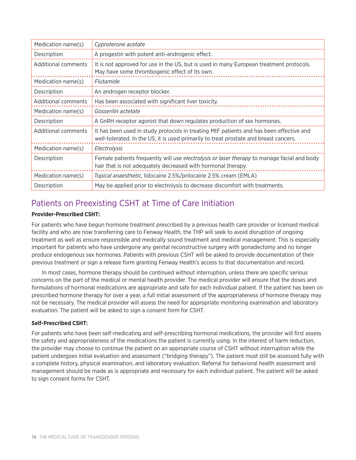| Medication name(s)  | Cyproterone acetate                                                                                                                                                              |
|---------------------|----------------------------------------------------------------------------------------------------------------------------------------------------------------------------------|
| Description         | A progestin with potent anti-androgenic effect.                                                                                                                                  |
| Additional comments | It is not approved for use in the US, but is used in many European treatment protocols.<br>May have some thrombogenic effect of its own.                                         |
| Medication name(s)  | Flutamide                                                                                                                                                                        |
| Description         | An androgen receptor blocker.                                                                                                                                                    |
| Additional comments | Has been associated with significant liver toxicity.                                                                                                                             |
| Medication name(s)  | Gosserilin actetate                                                                                                                                                              |
| Description         | A GnRH receptor agonist that down regulates production of sex hormones.                                                                                                          |
| Additional comments | It has been used in study protocols in treating MtF patients and has been effective and<br>well-tolerated. In the US, it is used primarily to treat prostate and breast cancers. |
| Medication name(s)  | Electrolysis                                                                                                                                                                     |
| Description         | Female patients frequently will use <i>electrolysis or laser therapy</i> to manage facial and body<br>hair that is not adequately decreased with hormonal therapy.               |
| Medication name(s)  | Topical anaesthetic, lidocaine 2.5%/prilocaine 2.5% cream (EMLA)                                                                                                                 |
| Description         | May be applied prior to electrolysis to decrease discomfort with treatments.                                                                                                     |

### Patients on Preexisting CSHT at Time of Care Initiation

### **Provider-Prescribed CSHT:**

For patients who have begun hormone treatment prescribed by a previous health care provider or licensed medical facility and who are now transferring care to Fenway Health, the THP will seek to avoid disruption of ongoing treatment as well as ensure responsible and medically sound treatment and medical management. This is especially important for patients who have undergone any genital reconstructive surgery with gonadectomy and no longer produce endogenous sex hormones. Patients with previous CSHT will be asked to provide documentation of their previous treatment or sign a release form granting Fenway Health's access to that documentation and record.

In most cases, hormone therapy should be continued without interruption, unless there are specific serious concerns on the part of the medical or mental health provider. The medical provider will ensure that the doses and formulations of hormonal medications are appropriate and safe for each individual patient. If the patient has been on prescribed hormone therapy for over a year, a full initial assessment of the appropriateness of hormone therapy may not be necessary. The medical provider will assess the need for appropriate monitoring examination and laboratory evaluation. The patient will be asked to sign a consent form for CSHT.

### **Self-Prescribed CSHT:**

For patients who have been self-medicating and self-prescribing hormonal medications, the provider will first assess the safety and appropriateness of the medications the patient is currently using. In the interest of harm reduction, the provider may choose to continue the patient on an appropriate course of CSHT without interruption while the patient undergoes initial evaluation and assessment ("bridging therapy"). The patient must still be assessed fully with a complete history, physical examination, and laboratory evaluation. Referral for behavioral health assessment and management should be made as is appropriate and necessary for each individual patient. The patient will be asked to sign consent forms for CSHT.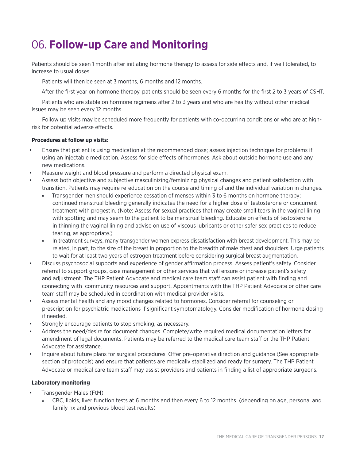## 06. **Follow-up Care and Monitoring**

Patients should be seen 1 month after initiating hormone therapy to assess for side effects and, if well tolerated, to increase to usual doses.

Patients will then be seen at 3 months, 6 months and 12 months.

After the first year on hormone therapy, patients should be seen every 6 months for the first 2 to 3 years of CSHT.

Patients who are stable on hormone regimens after 2 to 3 years and who are healthy without other medical issues may be seen every 12 months.

Follow up visits may be scheduled more frequently for patients with co-occurring conditions or who are at highrisk for potential adverse effects.

### **Procedures at follow up visits:**

- Ensure that patient is using medication at the recommended dose; assess injection technique for problems if using an injectable medication. Assess for side effects of hormones. Ask about outside hormone use and any new medications.
- Measure weight and blood pressure and perform a directed physical exam.
- Assess both objective and subjective masculinizing/feminizing physical changes and patient satisfaction with transition. Patients may require re-education on the course and timing of and the individual variation in changes.
	- Transgender men should experience cessation of menses within 3 to 6 months on hormone therapy; continued menstrual bleeding generally indicates the need for a higher dose of testosterone or concurrent treatment with progestin. (Note: Assess for sexual practices that may create small tears in the vaginal lining with spotting and may seem to the patient to be menstrual bleeding. Educate on effects of testosterone in thinning the vaginal lining and advise on use of viscous lubricants or other safer sex practices to reduce tearing, as appropriate.)
	- » In treatment surveys, many transgender women express dissatisfaction with breast development. This may be related, in part, to the size of the breast in proportion to the breadth of male chest and shoulders. Urge patients to wait for at least two years of estrogen treatment before considering surgical breast augmentation.
- Discuss psychosocial supports and experience of gender affirmation process. Assess patient's safety. Consider referral to support groups, case management or other services that will ensure or increase patient's safety and adjustment. The THP Patient Advocate and medical care team staff can assist patient with finding and connecting with community resources and support. Appointments with the THP Patient Advocate or other care team staff may be scheduled in coordination with medical provider visits.
- Assess mental health and any mood changes related to hormones. Consider referral for counseling or prescription for psychiatric medications if significant symptomatology. Consider modification of hormone dosing if needed.
- Strongly encourage patients to stop smoking, as necessary.
- Address the need/desire for document changes. Complete/write required medical documentation letters for amendment of legal documents. Patients may be referred to the medical care team staff or the THP Patient Advocate for assistance.
- Inquire about future plans for surgical procedures. Offer pre-operative direction and guidance (See appropriate section of protocols) and ensure that patients are medically stabilized and ready for surgery. The THP Patient Advocate or medical care team staff may assist providers and patients in finding a list of appropriate surgeons.

### **Laboratory monitoring**

- Transgender Males (FtM)
	- » CBC, lipids, liver function tests at 6 months and then every 6 to 12 months (depending on age, personal and family hx and previous blood test results)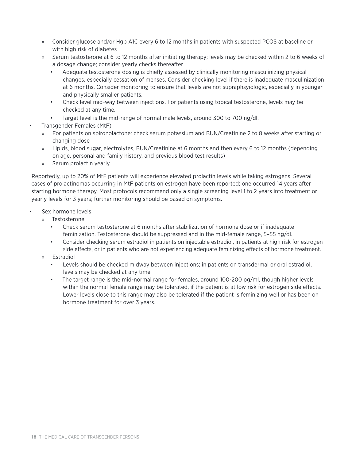- » Consider glucose and/or Hgb A1C every 6 to 12 months in patients with suspected PCOS at baseline or with high risk of diabetes
- » Serum testosterone at 6 to 12 months after initiating therapy; levels may be checked within 2 to 6 weeks of a dosage change; consider yearly checks thereafter
	- Adequate testosterone dosing is chiefly assessed by clinically monitoring masculinizing physical changes, especially cessation of menses. Consider checking level if there is inadequate masculinization at 6 months. Consider monitoring to ensure that levels are not supraphsyiologic, especially in younger and physically smaller patients.
	- Check level mid-way between injections. For patients using topical testosterone, levels may be checked at any time.
	- Target level is the mid-range of normal male levels, around 300 to 700 ng/dl.
- Transgender Females (MtF)
	- » For patients on spironolactone: check serum potassium and BUN/Creatinine 2 to 8 weeks after starting or changing dose
	- » Lipids, blood sugar, electrolytes, BUN/Creatinine at 6 months and then every 6 to 12 months (depending on age, personal and family history, and previous blood test results)
	- » Serum prolactin yearly

Reportedly, up to 20% of MtF patients will experience elevated prolactin levels while taking estrogens. Several cases of prolactinomas occurring in MtF patients on estrogen have been reported; one occurred 14 years after starting hormone therapy. Most protocols recommend only a single screening level 1 to 2 years into treatment or yearly levels for 3 years; further monitoring should be based on symptoms.

- Sex hormone levels
	- » Testosterone
		- Check serum testosterone at 6 months after stabilization of hormone dose or if inadequate feminization. Testosterone should be suppressed and in the mid-female range, 5–55 ng/dl.
		- Consider checking serum estradiol in patients on injectable estradiol, in patients at high risk for estrogen side effects, or in patients who are not experiencing adequate feminizing effects of hormone treatment.
	- » Estradiol
		- Levels should be checked midway between injections; in patients on transdermal or oral estradiol, levels may be checked at any time.
		- The target range is the mid-normal range for females, around 100-200 pg/ml, though higher levels within the normal female range may be tolerated, if the patient is at low risk for estrogen side effects. Lower levels close to this range may also be tolerated if the patient is feminizing well or has been on hormone treatment for over 3 years.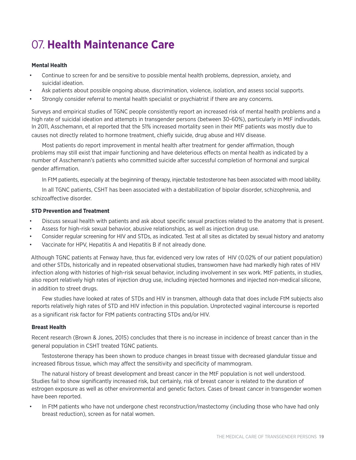## 07. **Health Maintenance Care**

### **Mental Health**

- Continue to screen for and be sensitive to possible mental health problems, depression, anxiety, and suicidal ideation.
- Ask patients about possible ongoing abuse, discrimination, violence, isolation, and assess social supports.
- Strongly consider referral to mental health specialist or psychiatrist if there are any concerns.

Surveys and empirical studies of TGNC people consistently report an increased risk of mental health problems and a high rate of suicidal ideation and attempts in transgender persons (between 30-60%), particularly in MtF indivudals. In 2011, Asschemann, et al reported that the 51% increased mortality seen in their MtF patients was mostly due to causes not directly related to hormone treatment, chiefly suicide, drug abuse and HIV disease.

Most patients do report improvement in mental health after treatment for gender affirmation, though problems may still exist that impair functioning and have deleterious effects on mental health as indicated by a number of Asschemann's patients who committed suicide after successful completion of hormonal and surgical gender affirmation.

In FtM patients, especially at the beginning of therapy, injectable testosterone has been associated with mood lability.

In all TGNC patients, CSHT has been associated with a destabilization of bipolar disorder, schizophrenia, and schizoaffective disorder.

### **STD Prevention and Treatment**

- Discuss sexual health with patients and ask about specific sexual practices related to the anatomy that is present.
- Assess for high-risk sexual behavior, abusive relationships, as well as injection drug use.
- Consider regular screening for HIV and STDs, as indicated. Test at all sites as dictated by sexual history and anatomy
- Vaccinate for HPV, Hepatitis A and Hepatitis B if not already done.

Although TGNC patients at Fenway have, thus far, evidenced very low rates of HIV (0.02% of our patient population) and other STDs, historically and in repeated observational studies, transwomen have had markedly high rates of HIV infection along with histories of high-risk sexual behavior, including involvement in sex work. MtF patients, in studies, also report relatively high rates of injection drug use, including injected hormones and injected non-medical silicone, in addition to street drugs.

Few studies have looked at rates of STDs and HIV in transmen, although data that does include FtM subjects also reports relatively high rates of STD and HIV infection in this population. Unprotected vaginal intercourse is reported as a significant risk factor for FtM patients contracting STDs and/or HIV.

### **Breast Health**

Recent research (Brown & Jones, 2015) concludes that there is no increase in incidence of breast cancer than in the general population in CSHT treated TGNC patients.

Testosterone therapy has been shown to produce changes in breast tissue with decreased glandular tissue and increased fibrous tissue, which may affect the sensitivity and specificity of mammogram.

The natural history of breast development and breast cancer in the MtF population is not well understood. Studies fail to show significantly increased risk, but certainly, risk of breast cancer is related to the duration of estrogen exposure as well as other environmental and genetic factors. Cases of breast cancer in transgender women have been reported.

In FtM patients who have not undergone chest reconstruction/mastectomy (including those who have had only breast reduction), screen as for natal women.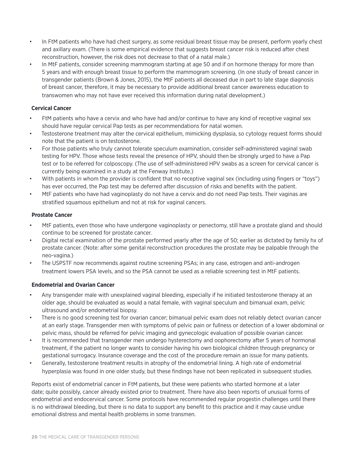- In FtM patients who have had chest surgery, as some residual breast tissue may be present, perform yearly chest and axillary exam. (There is some empirical evidence that suggests breast cancer risk is reduced after chest reconstruction, however, the risk does not decrease to that of a natal male.)
- In MtF patients, consider screening mammogram starting at age 50 and if on hormone therapy for more than 5 years and with enough breast tissue to perform the mammogram screening. (In one study of breast cancer in transgender patients (Brown & Jones, 2015), the MtF patients all deceased due in part to late stage diagnosis of breast cancer, therefore, it may be necessary to provide additional breast cancer awareness education to transwomen who may not have ever received this information during natal development.)

### **Cervical Cancer**

- FtM patients who have a cervix and who have had and/or continue to have any kind of receptive vaginal sex should have regular cervical Pap tests as per recommendations for natal women.
- Testosterone treatment may alter the cervical epithelium, mimicking dysplasia, so cytology request forms should note that the patient is on testosterone.
- For those patients who truly cannot tolerate speculum examination, consider self-administered vaginal swab testing for HPV. Those whose tests reveal the presence of HPV, should then be strongly urged to have a Pap test or to be referred for colposcopy. (The use of self-administered HPV swabs as a screen for cervical cancer is currently being examined in a study at the Fenway Institute.)
- With patients in whom the provider is confident that no receptive vaginal sex (including using fingers or "toys") has ever occurred, the Pap test may be deferred after discussion of risks and benefits with the patient.
- MtF patients who have had vaginoplasty do not have a cervix and do not need Pap tests. Their vaginas are stratified squamous epithelium and not at risk for vaginal cancers.

### **Prostate Cancer**

- MtF patients, even those who have undergone vaginoplasty or penectomy, still have a prostate gland and should continue to be screened for prostate cancer.
- Digital rectal examination of the prostate performed yearly after the age of 50; earlier as dictated by family hx of prostate cancer. (Note: after some genital reconstruction procedures the prostate may be palpable through the neo-vagina.)
- The USPSTF now recommends against routine screening PSAs; in any case, estrogen and anti-androgen treatment lowers PSA levels, and so the PSA cannot be used as a reliable screening test in MtF patients.

### **Endometrial and Ovarian Cancer**

- Any transgender male with unexplained vaginal bleeding, especially if he initiated testosterone therapy at an older age, should be evaluated as would a natal female, with vaginal speculum and bimanual exam, pelvic ultrasound and/or endometrial biopsy.
- There is no good screening test for ovarian cancer; bimanual pelvic exam does not reliably detect ovarian cancer at an early stage. Transgender men with symptoms of pelvic pain or fullness or detection of a lower abdominal or pelvic mass, should be referred for pelvic imaging and gynecologic evaluation of possible ovarian cancer.
- It is recommended that transgender men undergo hysterectomy and oophorectomy after 5 years of hormonal treatment, if the patient no longer wants to consider having his own biological children through pregnancy or gestational surrogacy. Insurance coverage and the cost of the procedure remain an issue for many patients.
- Generally, testosterone treatment results in atrophy of the endometrial lining. A high rate of endometrial hyperplasia was found in one older study, but these findings have not been replicated in subsequent studies.

Reports exist of endometrial cancer in FtM patients, but these were patients who started hormone at a later date; quite possibly, cancer already existed prior to treatment. There have also been reports of unusual forms of endometrial and endocervical cancer. Some protocols have recommended regular progestin challenges until there is no withdrawal bleeding, but there is no data to support any benefit to this practice and it may cause undue emotional distress and mental health problems in some transmen.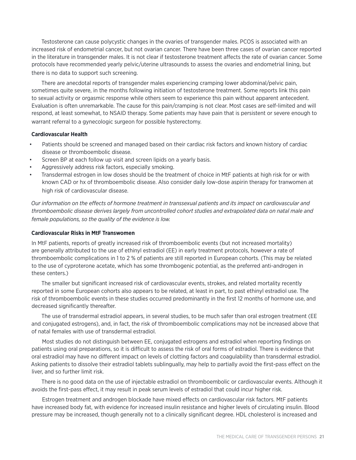Testosterone can cause polycystic changes in the ovaries of transgender males. PCOS is associated with an increased risk of endometrial cancer, but not ovarian cancer. There have been three cases of ovarian cancer reported in the literature in transgender males. It is not clear if testosterone treatment affects the rate of ovarian cancer. Some protocols have recommended yearly pelvic/uterine ultrasounds to assess the ovaries and endometrial lining, but there is no data to support such screening.

There are anecdotal reports of transgender males experiencing cramping lower abdominal/pelvic pain, sometimes quite severe, in the months following initiation of testosterone treatment. Some reports link this pain to sexual activity or orgasmic response while others seem to experience this pain without apparent antecedent. Evaluation is often unremarkable. The cause for this pain/cramping is not clear. Most cases are self-limited and will respond, at least somewhat, to NSAID therapy. Some patients may have pain that is persistent or severe enough to warrant referral to a gynecologic surgeon for possible hysterectomy.

### **Cardiovascular Health**

- Patients should be screened and managed based on their cardiac risk factors and known history of cardiac disease or thromboembolic disease.
- Screen BP at each follow up visit and screen lipids on a yearly basis.
- Aggressively address risk factors, especially smoking.
- Transdermal estrogen in low doses should be the treatment of choice in MtF patients at high risk for or with known CAD or hx of thromboembolic disease. Also consider daily low-dose aspirin therapy for tranwomen at high risk of cardiovascular disease.

*Our information on the effects of hormone treatment in transsexual patients and its impact on cardiovascular and thromboembolic disease derives largely from uncontrolled cohort studies and extrapolated data on natal male and female populations, so the quality of the evidence is low.* 

#### **Cardiovascular Risks in MtF Transwomen**

In MtF patients, reports of greatly increased risk of thromboembolic events (but not increased mortality) are generally attributed to the use of ethinyl estradiol (EE) in early treatment protocols, however a rate of thromboembolic complications in 1 to 2 % of patients are still reported in European cohorts. (This may be related to the use of cyproterone acetate, which has some thrombogenic potential, as the preferred anti-androgen in these centers.)

The smaller but significant increased risk of cardiovascular events, strokes, and related mortality recently reported in some European cohorts also appears to be related, at least in part, to past ethinyl estradiol use. The risk of thromboembolic events in these studies occurred predominantly in the first 12 months of hormone use, and decreased significantly thereafter.

The use of transdermal estradiol appears, in several studies, to be much safer than oral estrogen treatment (EE and conjugated estrogens), and, in fact, the risk of thromboembolic complications may not be increased above that of natal females with use of transdermal estradiol.

Most studies do not distinguish between EE, conjugated estrogens and estradiol when reporting findings on patients using oral preparations, so it is difficult to assess the risk of oral forms of estradiol. There is evidence that oral estradiol may have no different impact on levels of clotting factors and coagulability than transdermal estradiol. Asking patients to dissolve their estradiol tablets sublingually, may help to partially avoid the first-pass effect on the liver, and so further limit risk.

There is no good data on the use of injectable estradiol on thromboembolic or cardiovascular events. Although it avoids the first-pass effect, it may result in peak serum levels of estradiol that could incur higher risk.

Estrogen treatment and androgen blockade have mixed effects on cardiovascular risk factors. MtF patients have increased body fat, with evidence for increased insulin resistance and higher levels of circulating insulin. Blood pressure may be increased, though generally not to a clinically significant degree. HDL cholesterol is increased and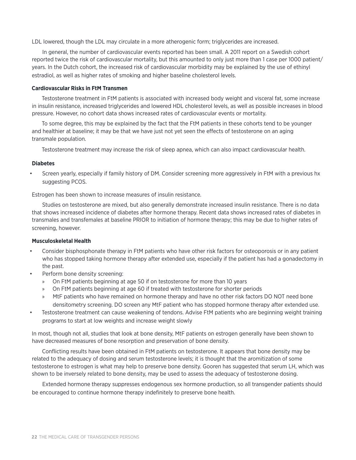LDL lowered, though the LDL may circulate in a more atherogenic form; triglycerides are increased.

In general, the number of cardiovascular events reported has been small. A 2011 report on a Swedish cohort reported twice the risk of cardiovascular mortality, but this amounted to only just more than 1 case per 1000 patient/ years. In the Dutch cohort, the increased risk of cardiovascular morbidity may be explained by the use of ethinyl estradiol, as well as higher rates of smoking and higher baseline cholesterol levels.

#### **Cardiovascular Risks in FtM Transmen**

Testosterone treatment in FtM patients is associated with increased body weight and visceral fat, some increase in insulin resistance, increased triglycerides and lowered HDL cholesterol levels, as well as possible increases in blood pressure. However, no cohort data shows increased rates of cardiovascular events or mortality.

To some degree, this may be explained by the fact that the FtM patients in these cohorts tend to be younger and healthier at baseline; it may be that we have just not yet seen the effects of testosterone on an aging transmale population.

Testosterone treatment may increase the risk of sleep apnea, which can also impact cardiovascular health.

#### **Diabetes**

• Screen yearly, especially if family history of DM. Consider screening more aggressively in FtM with a previous hx suggesting PCOS.

Estrogen has been shown to increase measures of insulin resistance.

Studies on testosterone are mixed, but also generally demonstrate increased insulin resistance. There is no data that shows increased incidence of diabetes after hormone therapy. Recent data shows increased rates of diabetes in transmales and transfemales at baseline PRIOR to initiation of hormone therapy; this may be due to higher rates of screening, however.

#### **Musculoskeletal Health**

- Consider bisphosphonate therapy in FtM patients who have other risk factors for osteoporosis or in any patient who has stopped taking hormone therapy after extended use, especially if the patient has had a gonadectomy in the past.
- Perform bone density screening:
	- » On FtM patients beginning at age 50 if on testosterone for more than 10 years
	- » On FtM patients beginning at age 60 if treated with testosterone for shorter periods
	- » MtF patients who have remained on hormone therapy and have no other risk factors DO NOT need bone densitometry screening. DO screen any MtF patient who has stopped hormone therapy after extended use.
- Testosterone treatment can cause weakening of tendons. Advise FtM patients who are beginning weight training programs to start at low weights and increase weight slowly

In most, though not all, studies that look at bone density, MtF patients on estrogen generally have been shown to have decreased measures of bone resorption and preservation of bone density.

Conflicting results have been obtained in FtM patients on testosterone. It appears that bone density may be related to the adequacy of dosing and serum testosterone levels; it is thought that the aromitization of some testosterone to estrogen is what may help to preserve bone density. Gooren has suggested that serum LH, which was shown to be inversely related to bone density, may be used to assess the adequacy of testosterone dosing.

Extended hormone therapy suppresses endogenous sex hormone production, so all transgender patients should be encouraged to continue hormone therapy indefinitely to preserve bone health.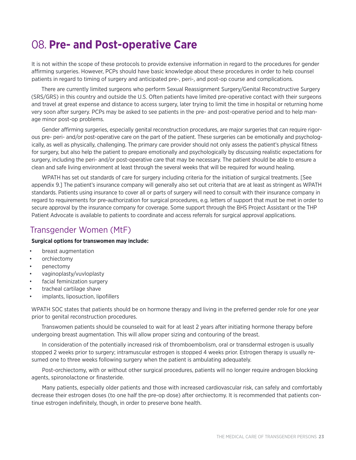### 08. **Pre- and Post-operative Care**

It is not within the scope of these protocols to provide extensive information in regard to the procedures for gender affirming surgeries. However, PCPs should have basic knowledge about these procedures in order to help counsel patients in regard to timing of surgery and anticipated pre-, peri-, and post-op course and complications.

There are currently limited surgeons who perform Sexual Reassignment Surgery/Genital Reconstructive Surgery (SRS/GRS) in this country and outside the U.S. Often patients have limited pre-operative contact with their surgeons and travel at great expense and distance to access surgery, later trying to limit the time in hospital or returning home very soon after surgery. PCPs may be asked to see patients in the pre- and post-operative period and to help manage minor post-op problems.

Gender affirming surgeries, especially genital reconstruction procedures, are major surgeries that can require rigorous pre- peri- and/or post-operative care on the part of the patient. These surgeries can be emotionally and psychologically, as well as physically, challenging. The primary care provider should not only assess the patient's physical fitness for surgery, but also help the patient to prepare emotionally and psychologically by discussing realistic expectations for surgery, including the peri- and/or post-operative care that may be necessary. The patient should be able to ensure a clean and safe living environment at least through the several weeks that will be required for wound healing.

WPATH has set out standards of care for surgery including criteria for the initiation of surgical treatments. [See appendix 9.] The patient's insurance company will generally also set out criteria that are at least as stringent as WPATH standards. Patients using insurance to cover all or parts of surgery will need to consult with their insurance company in regard to requirements for pre-authorization for surgical procedures, e.g. letters of support that must be met in order to secure approval by the insurance company for coverage. Some support through the BHS Project Assistant or the THP Patient Advocate is available to patients to coordinate and access referrals for surgical approval applications.

### Transgender Women (MtF)

### **Surgical options for transwomen may include:**

- breast augmentation
- orchiectomy
- penectomy
- vaginoplasty/vuvloplasty
- facial feminization surgery
- tracheal cartilage shave
- implants, liposuction, lipofillers

WPATH SOC states that patients should be on hormone therapy and living in the preferred gender role for one year prior to genital reconstruction procedures.

Transwomen patients should be counseled to wait for at least 2 years after initiating hormone therapy before undergoing breast augmentation. This will allow proper sizing and contouring of the breast.

In consideration of the potentially increased risk of thromboembolism, oral or transdermal estrogen is usually stopped 2 weeks prior to surgery; intramuscular estrogen is stopped 4 weeks prior. Estrogen therapy is usually resumed one to three weeks following surgery when the patient is ambulating adequately.

Post-orchiectomy, with or without other surgical procedures, patients will no longer require androgen blocking agents, spironolactone or finasteride.

Many patients, especially older patients and those with increased cardiovascular risk, can safely and comfortably decrease their estrogen doses (to one half the pre-op dose) after orchiectomy. It is recommended that patients continue estrogen indefinitely, though, in order to preserve bone health.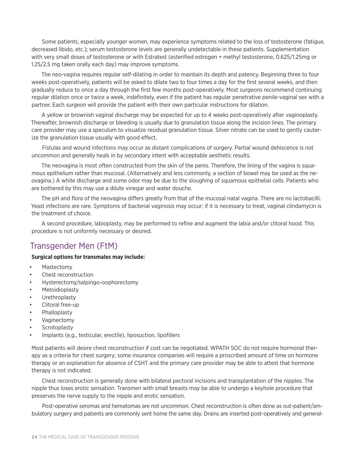Some patients, especially younger women, may experience symptoms related to the loss of testosterone (fatigue, decreased libido, etc.); serum testosterone levels are generally undetectable in these patients. Supplementation with very small doses of testosterone or with Estratest (esterified estrogen + methyl testosterone, 0.625/1.25mg or 1.25/2.5 mg taken orally each day) may improve symptoms.

The neo-vagina requires regular self-dilating in order to maintain its depth and patency. Beginning three to four weeks post-operatively, patients will be asked to dilate two to four times a day for the first several weeks, and then gradually reduce to once a day through the first few months post-operatively. Most surgeons recommend continuing regular dilation once or twice a week, indefinitely, even if the patient has regular penetrative penile-vaginal sex with a partner. Each surgeon will provide the patient with their own particular instructions for dilation.

A yellow or brownish vaginal discharge may be expected for up to 4 weeks post-operatively after vaginoplasty. Thereafter, brownish discharge or bleeding is usually due to granulation tissue along the incision lines. The primary care provider may use a speculum to visualize residual granulation tissue. Silver nitrate can be used to gently cauterize the granulation tissue usually with good effect.

Fistulas and wound infections may occur as distant complications of surgery. Partial wound dehiscence is not uncommon and generally heals in by secondary intent with acceptable aesthetic results.

The neovagina is most often constructed from the skin of the penis. Therefore, the lining of the vagina is squamous epithelium rather than mucosal. (Alternatively and less commonly, a section of bowel may be used as the neovagina.) A white discharge and some odor may be due to the sloughing of squamous epithelial cells. Patients who are bothered by this may use a dilute vinegar and water douche.

The pH and flora of the neovagina differs greatly from that of the mucosal natal vagina. There are no lactobacilli. Yeast infections are rare. Symptoms of bacterial vaginosis may occur; if it is necessary to treat, vaginal clindamycin is the treatment of choice.

A second procedure, labioplasty, may be performed to refine and augment the labia and/or clitoral hood. This procedure is not uniformly necessary or desired.

### Transgender Men (FtM)

### **Surgical options for transmales may include:**

- Mastectomy
- Chest reconstruction
- Hysterectomy/salpingo-oophorectomy
- **Metoidioplasty**
- **Urethroplasty**
- Clitoral free-up
- **Phalloplasty**
- Vaginectomy
- **Scrotoplasty**
- Implants (e.g., testicular, erectile), liposuction, lipofillers

Most patients will desire chest reconstruction if cost can be negotiated. WPATH SOC do not require hormonal therapy as a criteria for chest surgery; some insurance companies will require a proscribed amount of time on hormone therapy or an explanation for absence of CSHT and the primary care provider may be able to attest that hormone therapy is not indicated.

Chest reconstruction is generally done with bilateral pectoral incisions and transplantation of the nipples. The nipple thus loses erotic sensation. Transmen with small breasts may be able to undergo a keyhole procedure that preserves the nerve supply to the nipple and erotic sensation.

Post-operative seromas and hematomas are not uncommon. Chest reconstruction is often done as out-patient/ambulatory surgery and patients are commonly sent home the same day. Drains are inserted post-operatively and general-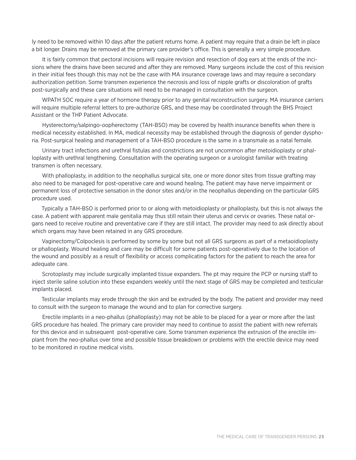ly need to be removed within 10 days after the patient returns home. A patient may require that a drain be left in place a bit longer. Drains may be removed at the primary care provider's office. This is generally a very simple procedure.

It is fairly common that pectoral incisions will require revision and resection of dog ears at the ends of the incisions where the drains have been secured and after they are removed. Many surgeons include the cost of this revision in their initial fees though this may not be the case with MA insurance coverage laws and may require a secondary authorization petition. Some transmen experience the necrosis and loss of nipple grafts or discoloration of grafts post-surgically and these care situations will need to be managed in consultation with the surgeon.

WPATH SOC require a year of hormone therapy prior to any genital reconstruction surgery. MA insurance carriers will require multiple referral letters to pre-authorize GRS, and these may be coordinated through the BHS Project Assistant or the THP Patient Advocate.

Hysterectomy/salpingo-oopherectomy (TAH-BSO) may be covered by health insurance benefits when there is medical necessity established. In MA, medical necessity may be established through the diagnosis of gender dysphoria. Post-surgical healing and management of a TAH-BSO procedure is the same in a transmale as a natal female.

Urinary tract infections and urethral fistulas and constrictions are not uncommon after metoidioplasty or phalloplasty with urethral lengthening. Consultation with the operating surgeon or a urologist familiar with treating transmen is often necessary.

With phalloplasty, in addition to the neophallus surgical site, one or more donor sites from tissue grafting may also need to be managed for post-operative care and wound healing. The patient may have nerve impairment or permanent loss of protective sensation in the donor sites and/or in the neophallus depending on the particular GRS procedure used.

Typically a TAH-BSO is performed prior to or along with metoidioplasty or phalloplasty, but this is not always the case. A patient with apparent male genitalia may thus still retain their uterus and cervix or ovaries. These natal organs need to receive routine and preventative care if they are still intact. The provider may need to ask directly about which organs may have been retained in any GRS procedure.

Vaginectomy/Colpoclesis is performed by some by some but not all GRS surgeons as part of a metaoidioplasty or phalloplasty. Wound healing and care may be difficult for some patients post-operatively due to the location of the wound and possibly as a result of flexibility or access complicating factors for the patient to reach the area for adequate care.

Scrotoplasty may include surgically implanted tissue expanders. The pt may require the PCP or nursing staff to inject sterile saline solution into these expanders weekly until the next stage of GRS may be completed and testicular implants placed.

Testicular implants may erode through the skin and be extruded by the body. The patient and provider may need to consult with the surgeon to manage the wound and to plan for corrective surgery.

Erectile implants in a neo-phallus (phalloplasty) may not be able to be placed for a year or more after the last GRS procedure has healed. The primary care provider may need to continue to assist the patient with new referrals for this device and in subsequent post-operative care. Some transmen experience the extrusion of the erectile implant from the neo-phallus over time and possible tissue breakdown or problems with the erectile device may need to be monitored in routine medical visits.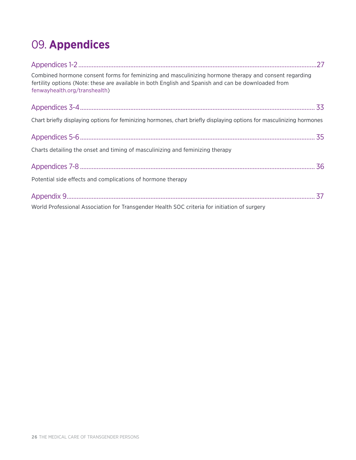## 09. **Appendices**

| Combined hormone consent forms for feminizing and masculinizing hormone therapy and consent regarding<br>fertility options (Note: these are available in both English and Spanish and can be downloaded from<br>fenwayhealth.org/transhealth) |  |
|-----------------------------------------------------------------------------------------------------------------------------------------------------------------------------------------------------------------------------------------------|--|
|                                                                                                                                                                                                                                               |  |
| Chart briefly displaying options for feminizing hormones, chart briefly displaying options for masculinizing hormones                                                                                                                         |  |
|                                                                                                                                                                                                                                               |  |
| Charts detailing the onset and timing of masculinizing and feminizing therapy                                                                                                                                                                 |  |
|                                                                                                                                                                                                                                               |  |
| Potential side effects and complications of hormone therapy                                                                                                                                                                                   |  |
|                                                                                                                                                                                                                                               |  |
| World Professional Association for Transgender Health SOC criteria for initiation of surgery                                                                                                                                                  |  |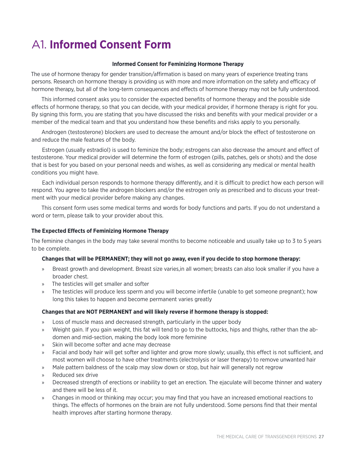## A1. **Informed Consent Form**

### **Informed Consent for Feminizing Hormone Therapy**

The use of hormone therapy for gender transition/affirmation is based on many years of experience treating trans persons. Research on hormone therapy is providing us with more and more information on the safety and efficacy of hormone therapy, but all of the long-term consequences and effects of hormone therapy may not be fully understood.

This informed consent asks you to consider the expected benefits of hormone therapy and the possible side effects of hormone therapy, so that you can decide, with your medical provider, if hormone therapy is right for you. By signing this form, you are stating that you have discussed the risks and benefits with your medical provider or a member of the medical team and that you understand how these benefits and risks apply to you personally.

Androgen (testosterone) blockers are used to decrease the amount and/or block the effect of testosterone on and reduce the male features of the body.

Estrogen (usually estradiol) is used to feminize the body; estrogens can also decrease the amount and effect of testosterone. Your medical provider will determine the form of estrogen (pills, patches, gels or shots) and the dose that is best for you based on your personal needs and wishes, as well as considering any medical or mental health conditions you might have.

Each individual person responds to hormone therapy differently, and it is difficult to predict how each person will respond. You agree to take the androgen blockers and/or the estrogen only as prescribed and to discuss your treatment with your medical provider before making any changes.

This consent form uses some medical terms and words for body functions and parts. If you do not understand a word or term, please talk to your provider about this.

### **The Expected Effects of Feminizing Hormone Therapy**

The feminine changes in the body may take several months to become noticeable and usually take up to 3 to 5 years to be complete.

### **Changes that will be PERMANENT; they will not go away, even if you decide to stop hormone therapy:**

- » Breast growth and development. Breast size varies,in all women; breasts can also look smaller if you have a broader chest.
- » The testicles will get smaller and softer
- » The testicles will produce less sperm and you will become infertile (unable to get someone pregnant); how long this takes to happen and become permanent varies greatly

### **Changes that are NOT PERMANENT and will likely reverse if hormone therapy is stopped:**

- » Loss of muscle mass and decreased strength, particularly in the upper body
- » Weight gain. If you gain weight, this fat will tend to go to the buttocks, hips and thighs, rather than the abdomen and mid-section, making the body look more feminine
- » Skin will become softer and acne may decrease
- » Facial and body hair will get softer and lighter and grow more slowly; usually, this effect is not sufficient, and most women will choose to have other treatments (electrolysis or laser therapy) to remove unwanted hair
- » Male pattern baldness of the scalp may slow down or stop, but hair will generally not regrow
- » Reduced sex drive
- » Decreased strength of erections or inability to get an erection. The ejaculate will become thinner and watery and there will be less of it.
- » Changes in mood or thinking may occur; you may find that you have an increased emotional reactions to things. The effects of hormones on the brain are not fully understood. Some persons find that their mental health improves after starting hormone therapy.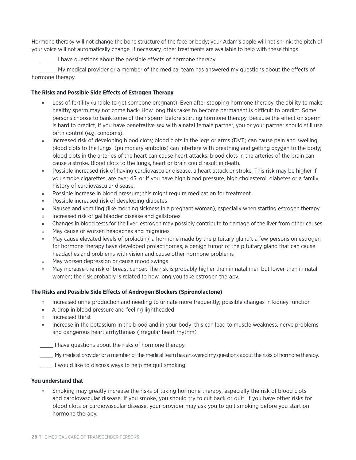Hormone therapy will not change the bone structure of the face or body; your Adam's apple will not shrink; the pitch of your voice will not automatically change. If necessary, other treatments are available to help with these things.

I have questions about the possible effects of hormone therapy.

My medical provider or a member of the medical team has answered my questions about the effects of hormone therapy.

### **The Risks and Possible Side Effects of Estrogen Therapy**

- » Loss of fertility (unable to get someone pregnant). Even after stopping hormone therapy, the ability to make healthy sperm may not come back. How long this takes to become permanent is difficult to predict. Some persons choose to bank some of their sperm before starting hormone therapy. Because the effect on sperm is hard to predict, if you have penetrative sex with a natal female partner, you or your partner should still use birth control (e.g. condoms).
- » Increased risk of developing blood clots; blood clots in the legs or arms (DVT) can cause pain and swelling; blood clots to the lungs (pulmonary embolus) can interfere with breathing and getting oxygen to the body; blood clots in the arteries of the heart can cause heart attacks; blood clots in the arteries of the brain can cause a stroke. Blood clots to the lungs, heart or brain could result in death.
- » Possible increased risk of having cardiovascular disease, a heart attack or stroke. This risk may be higher if you smoke cigarettes, are over 45, or if you have high blood pressure, high cholesterol, diabetes or a family history of cardiovascular disease.
- » Possible increase in blood pressure; this might require medication for treatment.
- » Possible increased risk of developing diabetes
- » Nausea and vomiting (like morning sickness in a pregnant woman), especially when starting estrogen therapy
- » Increased risk of gallbladder disease and gallstones
- » Changes in blood tests for the liver; estrogen may possibly contribute to damage of the liver from other causes
- » May cause or worsen headaches and migraines
- » May cause elevated levels of prolactin ( a hormone made by the pituitary gland); a few persons on estrogen for hormone therapy have developed prolactinomas, a benign tumor of the pituitary gland that can cause headaches and problems with vision and cause other hormone problems
- » May worsen depression or cause mood swings
- » May increase the risk of breast cancer. The risk is probably higher than in natal men but lower than in natal women; the risk probably is related to how long you take estrogen therapy.

### **The Risks and Possible Side Effects of Androgen Blockers (Spironolactone)**

- » Increased urine production and needing to urinate more frequently; possible changes in kidney function
- » A drop in blood pressure and feeling lightheaded
- » Increased thirst
- » Increase in the potassium in the blood and in your body; this can lead to muscle weakness, nerve problems and dangerous heart arrhythmias (irregular heart rhythm)

\_\_\_\_ I have questions about the risks of hormone therapy.

My medical provider or a member of the medical team has answered my questions about the risks of hormone therapy.

I would like to discuss ways to help me quit smoking.

### **You understand that**

Smoking may greatly increase the risks of taking hormone therapy, especially the risk of blood clots and cardiovascular disease. If you smoke, you should try to cut back or quit. If you have other risks for blood clots or cardiovascular disease, your provider may ask you to quit smoking before you start on hormone therapy.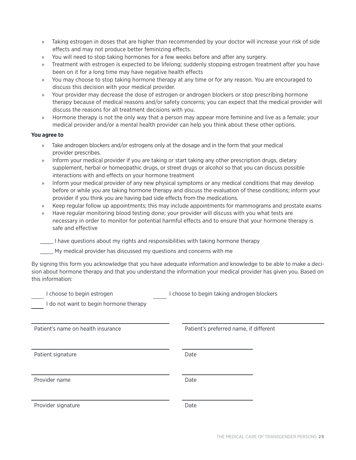- » Taking estrogen in doses that are higher than recommended by your doctor will increase your risk of side effects and may not produce better feminizing effects.
- » You will need to stop taking hormones for a few weeks before and after any surgery.
- » Treatment with estrogen is expected to be lifelong; suddenly stopping estrogen treatment after you have been on it for a long time may have negative health effects
- » You may choose to stop taking hormone therapy at any time or for any reason. You are encouraged to discuss this decision with your medical provider.
- » Your provider may decrease the dose of estrogen or androgen blockers or stop prescribing hormone therapy because of medical reasons and/or safety concerns; you can expect that the medical provider will discuss the reasons for all treatment decisions with you.
- » Hormone therapy is not the only way that a person may appear more feminine and live as a female; your medical provider and/or a mental health provider can help you think about these other options.

### **You agree to**

- » Take androgen blockers and/or estrogens only at the dosage and in the form that your medical provider prescribes.
- » Inform your medical provider if you are taking or start taking any other prescription drugs, dietary supplement, herbal or homeopathic drugs, or street drugs or alcohol so that you can discuss possible interactions with and effects on your hormone treatment
- » Inform your medical provider of any new physical symptoms or any medical conditions that may develop before or while you are taking hormone therapy and discuss the evaluation of these conditions; inform your provider if you think you are having bad side effects from the medications.
- » Keep regular follow up appointments; this may include appointments for mammograms and prostate exams
- » Have regular monitoring blood testing done; your provider will discuss with you what tests are necessary in order to monitor for potential harmful effects and to ensure that your hormone therapy is safe and effective

\_\_\_\_ I have questions about my rights and responsibilities with taking hormone therapy

My medical provider has discussed my questions and concerns with me

By signing this form you acknowledge that you have adequate information and knowledge to be able to make a decision about hormone therapy and that you understand the information your medical provider has given you. Based on this information:

| choose to begin estrogen<br>do not want to begin hormone therapy | I choose to begin taking androgen blockers |
|------------------------------------------------------------------|--------------------------------------------|
| Patient's name on health insurance                               | Patient's preferred name, if different     |
| Patient signature                                                | Date                                       |
| Provider name                                                    | Date                                       |
| Provider signature                                               | Date                                       |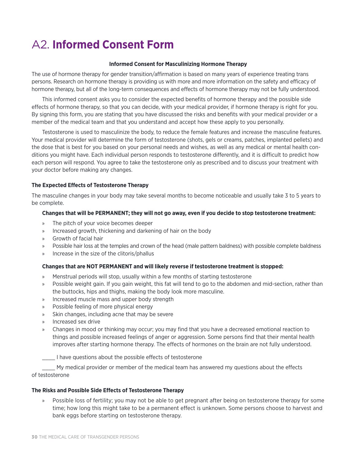## A2. **Informed Consent Form**

#### **Informed Consent for Masculinizing Hormone Therapy**

The use of hormone therapy for gender transition/affirmation is based on many years of experience treating trans persons. Research on hormone therapy is providing us with more and more information on the safety and efficacy of hormone therapy, but all of the long-term consequences and effects of hormone therapy may not be fully understood.

This informed consent asks you to consider the expected benefits of hormone therapy and the possible side effects of hormone therapy, so that you can decide, with your medical provider, if hormone therapy is right for you. By signing this form, you are stating that you have discussed the risks and benefits with your medical provider or a member of the medical team and that you understand and accept how these apply to you personally.

Testosterone is used to masculinize the body, to reduce the female features and increase the masculine features. Your medical provider will determine the form of testosterone (shots, gels or creams, patches, implanted pellets) and the dose that is best for you based on your personal needs and wishes, as well as any medical or mental health conditions you might have. Each individual person responds to testosterone differently, and it is difficult to predict how each person will respond. You agree to take the testosterone only as prescribed and to discuss your treatment with your doctor before making any changes.

### **The Expected Effects of Testosterone Therapy**

The masculine changes in your body may take several months to become noticeable and usually take 3 to 5 years to be complete.

#### **Changes that will be PERMANENT; they will not go away, even if you decide to stop testosterone treatment:**

- » The pitch of your voice becomes deeper
- » Increased growth, thickening and darkening of hair on the body
- » Growth of facial hair
- » Possible hair loss at the temples and crown of the head (male pattern baldness) with possible complete baldness
- » Increase in the size of the clitoris/phallus

#### **Changes that are NOT PERMANENT and will likely reverse if testosterone treatment is stopped:**

- » Menstrual periods will stop, usually within a few months of starting testosterone
- » Possible weight gain. If you gain weight, this fat will tend to go to the abdomen and mid-section, rather than the buttocks, hips and thighs, making the body look more masculine.
- » Increased muscle mass and upper body strength
- » Possible feeling of more physical energy
- » Skin changes, including acne that may be severe
- » Increased sex drive
- » Changes in mood or thinking may occur; you may find that you have a decreased emotional reaction to things and possible increased feelings of anger or aggression. Some persons find that their mental health improves after starting hormone therapy. The effects of hormones on the brain are not fully understood.

\_\_\_\_ I have questions about the possible effects of testosterone

\_\_\_\_ My medical provider or member of the medical team has answered my questions about the effects of testosterone

#### **The Risks and Possible Side Effects of Testosterone Therapy**

» Possible loss of fertility; you may not be able to get pregnant after being on testosterone therapy for some time; how long this might take to be a permanent effect is unknown. Some persons choose to harvest and bank eggs before starting on testosterone therapy.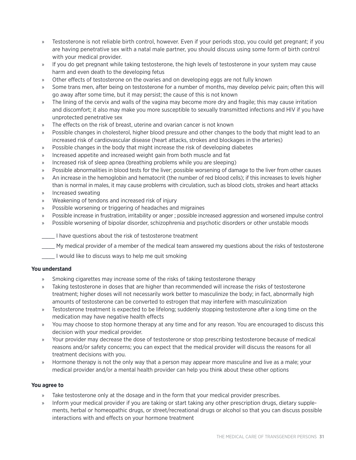- » Testosterone is not reliable birth control, however. Even if your periods stop, you could get pregnant; if you are having penetrative sex with a natal male partner, you should discuss using some form of birth control with your medical provider.
- » If you do get pregnant while taking testosterone, the high levels of testosterone in your system may cause harm and even death to the developing fetus
- » Other effects of testosterone on the ovaries and on developing eggs are not fully known
- » Some trans men, after being on testosterone for a number of months, may develop pelvic pain; often this will go away after some time, but it may persist; the cause of this is not known
- » The lining of the cervix and walls of the vagina may become more dry and fragile; this may cause irritation and discomfort; it also may make you more susceptible to sexually transmitted infections and HIV if you have unprotected penetrative sex
- » The effects on the risk of breast, uterine and ovarian cancer is not known
- » Possible changes in cholesterol, higher blood pressure and other changes to the body that might lead to an increased risk of cardiovascular disease (heart attacks, strokes and blockages in the arteries)
- » Possible changes in the body that might increase the risk of developing diabetes
- » Increased appetite and increased weight gain from both muscle and fat
- » Increased risk of sleep apnea (breathing problems while you are sleeping)
- » Possible abnormalities in blood tests for the liver; possible worsening of damage to the liver from other causes
- » An increase in the hemoglobin and hematocrit (the number of red blood cells); if this increases to levels higher than is normal in males, it may cause problems with circulation, such as blood clots, strokes and heart attacks
- » Increased sweating
- » Weakening of tendons and increased risk of injury
- » Possible worsening or triggering of headaches and migraines
- » Possible increase in frustration, irritability or anger ; possible increased aggression and worsened impulse control
- » Possible worsening of bipolar disorder, schizophrenia and psychotic disorders or other unstable moods
- I have questions about the risk of testosterone treatment
- \_\_\_\_ My medical provider of a member of the medical team answered my questions about the risks of testosterone
	- \_\_\_\_ I would like to discuss ways to help me quit smoking

### **You understand**

- Smoking cigarettes may increase some of the risks of taking testosterone therapy
- » Taking testosterone in doses that are higher than recommended will increase the risks of testosterone treatment; higher doses will not necessarily work better to masculinize the body; in fact, abnormally high amounts of testosterone can be converted to estrogen that may interfere with masculinization
- » Testosterone treatment is expected to be lifelong; suddenly stopping testosterone after a long time on the medication may have negative health effects
- » You may choose to stop hormone therapy at any time and for any reason. You are encouraged to discuss this decision with your medical provider.
- » Your provider may decrease the dose of testosterone or stop prescribing testosterone because of medical reasons and/or safety concerns; you can expect that the medical provider will discuss the reasons for all treatment decisions with you.
- » Hormone therapy is not the only way that a person may appear more masculine and live as a male; your medical provider and/or a mental health provider can help you think about these other options

### **You agree to**

- Take testosterone only at the dosage and in the form that your medical provider prescribes.
- Inform your medical provider if you are taking or start taking any other prescription drugs, dietary supplements, herbal or homeopathic drugs, or street/recreational drugs or alcohol so that you can discuss possible interactions with and effects on your hormone treatment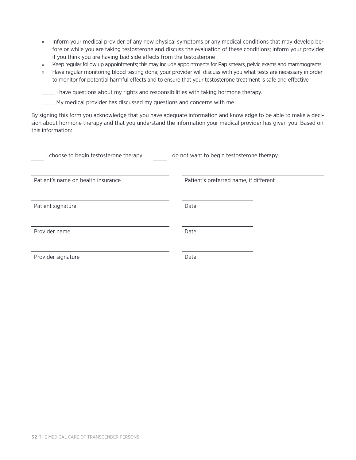- » Inform your medical provider of any new physical symptoms or any medical conditions that may develop before or while you are taking testosterone and discuss the evaluation of these conditions; inform your provider if you think you are having bad side effects from the testosterone
- » Keep regular follow up appointments; this may include appointments for Pap smears, pelvic exams and mammograms
- » Have regular monitoring blood testing done; your provider will discuss with you what tests are necessary in order to monitor for potential harmful effects and to ensure that your testosterone treatment is safe and effective

\_\_\_\_ I have questions about my rights and responsibilities with taking hormone therapy.

\_\_\_\_ My medical provider has discussed my questions and concerns with me.

By signing this form you acknowledge that you have adequate information and knowledge to be able to make a decision about hormone therapy and that you understand the information your medical provider has given you. Based on this information:

| I choose to begin testosterone therapy | I do not want to begin testosterone therapy |
|----------------------------------------|---------------------------------------------|
| Patient's name on health insurance     | Patient's preferred name, if different      |
| Patient signature                      | Date                                        |
| Provider name                          | Date                                        |
| Provider signature                     | Date                                        |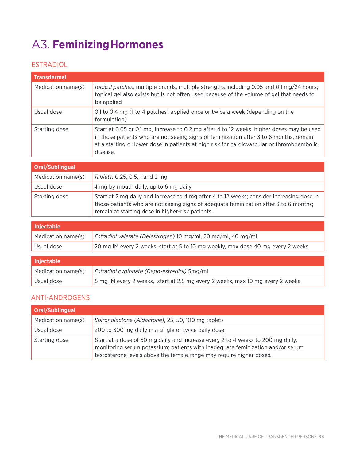## A3. **FeminizingHormones**

### ESTRADIOL

| <b>Transdermal</b> |                                                                                                                                                                                                                                                                                              |
|--------------------|----------------------------------------------------------------------------------------------------------------------------------------------------------------------------------------------------------------------------------------------------------------------------------------------|
| Medication name(s) | Topical patches, multiple brands, multiple strengths including 0.05 and 0.1 mg/24 hours;<br>topical gel also exists but is not often used because of the volume of gel that needs to<br>be applied                                                                                           |
| Usual dose         | 0.1 to 0.4 mg (1 to 4 patches) applied once or twice a week (depending on the<br>formulation)                                                                                                                                                                                                |
| Starting dose      | Start at 0.05 or 0.1 mg, increase to 0.2 mg after 4 to 12 weeks; higher doses may be used<br>in those patients who are not seeing signs of feminization after 3 to 6 months; remain<br>at a starting or lower dose in patients at high risk for cardiovascular or thromboembolic<br>disease. |

| Oral/Sublingual    |                                                                                                                                                                                                                                        |
|--------------------|----------------------------------------------------------------------------------------------------------------------------------------------------------------------------------------------------------------------------------------|
| Medication name(s) | Tablets, 0.25, 0.5, 1 and 2 mg                                                                                                                                                                                                         |
| Usual dose         | 4 mg by mouth daily, up to 6 mg daily                                                                                                                                                                                                  |
| Starting dose      | Start at 2 mg daily and increase to 4 mg after 4 to 12 weeks; consider increasing dose in<br>those patients who are not seeing signs of adequate feminization after 3 to 6 months;<br>remain at starting dose in higher-risk patients. |

| <b>Injectable</b>  |                                                                                  |
|--------------------|----------------------------------------------------------------------------------|
| Medication name(s) | Estradiol valerate (Delestrogen) 10 mg/ml, 20 mg/ml, 40 mg/ml                    |
| Usual dose         | 20 mg IM every 2 weeks, start at 5 to 10 mg weekly, max dose 40 mg every 2 weeks |

| <b>Injectable</b>  |                                                                               |
|--------------------|-------------------------------------------------------------------------------|
| Medication name(s) | Estradiol cypionate (Depo-estradiol) 5mg/ml                                   |
| Usual dose         | 5 mg IM every 2 weeks, start at 2.5 mg every 2 weeks, max 10 mg every 2 weeks |

### ANTI-ANDROGENS

| Oral/Sublingual    |                                                                                                                                                                                                                                           |
|--------------------|-------------------------------------------------------------------------------------------------------------------------------------------------------------------------------------------------------------------------------------------|
| Medication name(s) | Spironolactone (Aldactone), 25, 50, 100 mg tablets                                                                                                                                                                                        |
| Usual dose         | 200 to 300 mg daily in a single or twice daily dose                                                                                                                                                                                       |
| Starting dose      | Start at a dose of 50 mg daily and increase every 2 to 4 weeks to 200 mg daily,<br>monitoring serum potassium; patients with inadequate feminization and/or serum<br>testosterone levels above the female range may require higher doses. |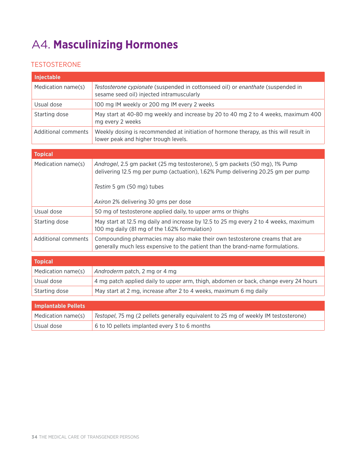## A4. **Masculinizing Hormones**

### TESTOSTERONE

| <b>Injectable</b>          |                                                                                                                                                                                              |  |
|----------------------------|----------------------------------------------------------------------------------------------------------------------------------------------------------------------------------------------|--|
| Medication name(s)         | Testosterone cypionate (suspended in cottonseed oil) or enanthate (suspended in<br>sesame seed oil) injected intramuscularly                                                                 |  |
| Usual dose                 | 100 mg IM weekly or 200 mg IM every 2 weeks                                                                                                                                                  |  |
| Starting dose              | May start at 40-80 mg weekly and increase by 20 to 40 mg 2 to 4 weeks, maximum 400<br>mg every 2 weeks                                                                                       |  |
| <b>Additional comments</b> | Weekly dosing is recommended at initiation of hormone therapy, as this will result in<br>lower peak and higher trough levels.                                                                |  |
| <b>Topical</b>             |                                                                                                                                                                                              |  |
| Medication name(s)         | Androgel, 2.5 gm packet (25 mg testosterone), 5 gm packets (50 mg), 1% Pump<br>delivering 12.5 mg per pump (actuation), 1.62% Pump delivering 20.25 gm per pump<br>Testim 5 gm (50 mg) tubes |  |
|                            | Axiron 2% delivering 30 gms per dose                                                                                                                                                         |  |
| Usual dose                 | 50 mg of testosterone applied daily, to upper arms or thighs                                                                                                                                 |  |
| Starting dose              | May start at 12.5 mg daily and increase by 12.5 to 25 mg every 2 to 4 weeks, maximum<br>100 mg daily (81 mg of the 1.62% formulation)                                                        |  |
| <b>Additional comments</b> | Compounding pharmacies may also make their own testosterone creams that are<br>generally much less expensive to the patient than the brand-name formulations.                                |  |
| <b>Topical</b>             |                                                                                                                                                                                              |  |
| Medication name(s)         | Androderm patch, 2 mg or 4 mg                                                                                                                                                                |  |
| Usual dose                 | 4 mg patch applied daily to upper arm, thigh, abdomen or back, change every 24 hours                                                                                                         |  |
| Starting dose              | May start at 2 mg, increase after 2 to 4 weeks, maximum 6 mg daily                                                                                                                           |  |
| <b>Implantable Pellets</b> |                                                                                                                                                                                              |  |
| Medication name(s)         | Testopel, 75 mg (2 pellets generally equivalent to 25 mg of weekly IM testosterone)                                                                                                          |  |

Usual dose  $\begin{array}{|l|l|} \hline 6 \hline \end{array}$  6 to 10 pellets implanted every 3 to 6 months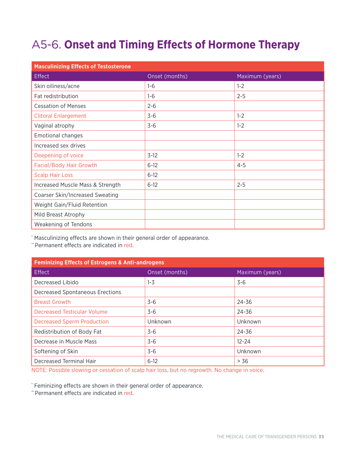## A5-6. **Onset and Timing Effects of Hormone Therapy**

| <b>Masculinizing Effects of Testosterone</b> |                |                 |  |  |
|----------------------------------------------|----------------|-----------------|--|--|
| Effect                                       | Onset (months) | Maximum (years) |  |  |
| Skin oiliness/acne                           | $1 - 6$        | $1 - 2$         |  |  |
| Fat redistribution                           | $1 - 6$        | $2 - 5$         |  |  |
| <b>Cessation of Menses</b>                   | $2 - 6$        |                 |  |  |
| <b>Clitoral Enlargement</b>                  | $3-6$          | $1 - 2$         |  |  |
| Vaginal atrophy                              | $3 - 6$        | $1 - 2$         |  |  |
| <b>Emotional changes</b>                     |                |                 |  |  |
| Increased sex drives                         |                |                 |  |  |
| Deepening of voice                           | $3-12$         | $1 - 2$         |  |  |
| Facial/Body Hair Growth                      | $6 - 12$       | $4 - 5$         |  |  |
| <b>Scalp Hair Loss</b>                       | $6 - 12$       |                 |  |  |
| Increased Muscle Mass & Strength             | $6 - 12$       | $2 - 5$         |  |  |
| Coarser Skin/Increased Sweating              |                |                 |  |  |
| Weight Gain/Fluid Retention                  |                |                 |  |  |
| Mild Breast Atrophy                          |                |                 |  |  |
| Weakening of Tendons                         |                |                 |  |  |

\* Masculinizing effects are shown in their general order of appearance.

\*\* Permanent effects are indicated in red.

| <b>Feminizing Effects of Estrogens &amp; Anti-androgens</b> |                |                 |  |  |
|-------------------------------------------------------------|----------------|-----------------|--|--|
| Effect                                                      | Onset (months) | Maximum (years) |  |  |
| Decreased Libido                                            | $1 - 3$        | $3 - 6$         |  |  |
| <b>Decreased Spontaneous Erections</b>                      |                |                 |  |  |
| <b>Breast Growth</b>                                        | $3-6$          | 24-36           |  |  |
| Decreased Testicular Volume                                 | $3-6$          | 24-36           |  |  |
| <b>Decreased Sperm Production</b>                           | Unknown        | Unknown         |  |  |
| Redistribution of Body Fat                                  | $3-6$          | 24-36           |  |  |
| Decrease in Muscle Mass                                     | $3 - 6$        | $12 - 24$       |  |  |
| Softening of Skin                                           | $3-6$          | Unknown         |  |  |
| Decreased Terminal Hair                                     | $6-12$         | > 36            |  |  |

NOTE: Possible slowing or cessation of scalp hair loss, but no regrowth. No change in voice.

\* Feminizing effects are shown in their general order of appearance.

\*\* Permanent effects are indicated in red.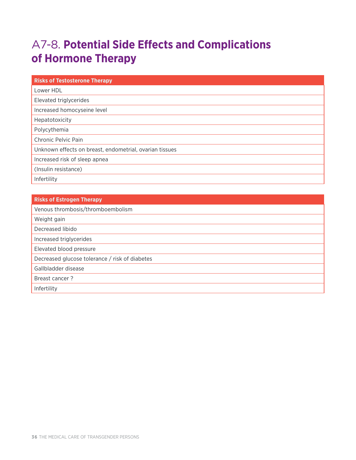## A7-8. **Potential Side Effects and Complications of Hormone Therapy**

| <b>Risks of Testosterone Therapy</b>                    |  |
|---------------------------------------------------------|--|
| Lower HDL                                               |  |
| Elevated triglycerides                                  |  |
| Increased homocyseine level                             |  |
| Hepatotoxicity                                          |  |
| Polycythemia                                            |  |
| Chronic Pelvic Pain                                     |  |
| Unknown effects on breast, endometrial, ovarian tissues |  |
| Increased risk of sleep apnea                           |  |
| (Insulin resistance)                                    |  |
| Infertility                                             |  |

| <b>Risks of Estrogen Therapy</b>               |  |
|------------------------------------------------|--|
| Venous thrombosis/thromboembolism              |  |
| Weight gain                                    |  |
| Decreased libido                               |  |
| Increased triglycerides                        |  |
| Elevated blood pressure                        |  |
| Decreased glucose tolerance / risk of diabetes |  |
| Gallbladder disease                            |  |
| Breast cancer?                                 |  |
| Infertility                                    |  |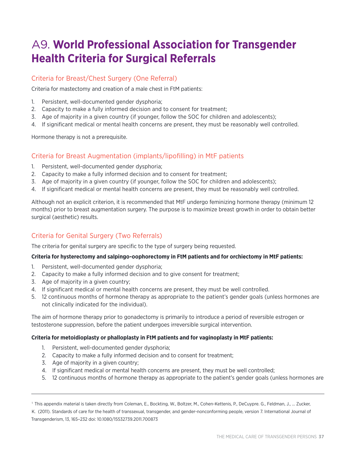## A9. **World Professional Association for Transgender Health Criteria for Surgical Referrals**

### Criteria for Breast/Chest Surgery (One Referral)

Criteria for mastectomy and creation of a male chest in FtM patients:

- 1. Persistent, well-documented gender dysphoria;
- 2. Capacity to make a fully informed decision and to consent for treatment;
- 3. Age of majority in a given country (if younger, follow the SOC for children and adolescents);
- 4. If significant medical or mental health concerns are present, they must be reasonably well controlled.

Hormone therapy is not a prerequisite.

### Criteria for Breast Augmentation (implants/lipofilling) in MtF patients

- 1. Persistent, well-documented gender dysphoria;
- 2. Capacity to make a fully informed decision and to consent for treatment;
- 3. Age of majority in a given country (if younger, follow the SOC for children and adolescents);
- 4. If significant medical or mental health concerns are present, they must be reasonably well controlled.

Although not an explicit criterion, it is recommended that MtF undergo feminizing hormone therapy (minimum 12 months) prior to breast augmentation surgery. The purpose is to maximize breast growth in order to obtain better surgical (aesthetic) results.

### Criteria for Genital Surgery (Two Referrals)

The criteria for genital surgery are specific to the type of surgery being requested.

### **Criteria for hysterectomy and salpingo-oophorectomy in FtM patients and for orchiectomy in MtF patients:**

- 1. Persistent, well-documented gender dysphoria;
- 2. Capacity to make a fully informed decision and to give consent for treatment;
- 3. Age of majority in a given country;
- 4. If significant medical or mental health concerns are present, they must be well controlled.
- 5. 12 continuous months of hormone therapy as appropriate to the patient's gender goals (unless hormones are not clinically indicated for the individual).

The aim of hormone therapy prior to gonadectomy is primarily to introduce a period of reversible estrogen or testosterone suppression, before the patient undergoes irreversible surgical intervention.

### **Criteria for metoidioplasty or phalloplasty in FtM patients and for vaginoplasty in MtF patients:**

- 1. Persistent, well-documented gender dysphoria;
- 2. Capacity to make a fully informed decision and to consent for treatment;
- 3. Age of majority in a given country;
- 4. If significant medical or mental health concerns are present, they must be well controlled;
- 5. 12 continuous months of hormone therapy as appropriate to the patient's gender goals (unless hormones are

K. (2011). Standards of care for the health of transsexual, transgender, and gender-nonconforming people, version 7. International Journal of Transgenderism, 13, 165–232 doi: 10.1080/15532739.2011.700873

<sup>1</sup> This appendix material is taken directly from Coleman, E., Bockting, W., Boltzer, M., Cohen-Kettenis, P., DeCuypre. G., Feldman, J., … Zucker,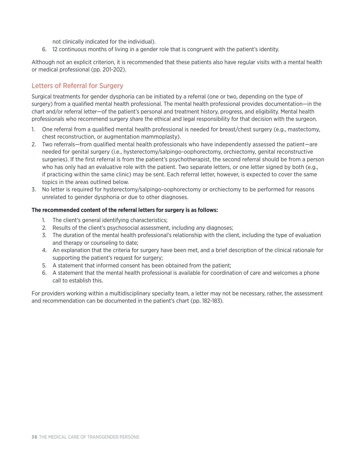not clinically indicated for the individual).

6. 12 continuous months of living in a gender role that is congruent with the patient's identity.

Although not an explicit criterion, it is recommended that these patients also have regular visits with a mental health or medical professional (pp. 201-202).

### Letters of Referral for Surgery

Surgical treatments for gender dysphoria can be initiated by a referral (one or two, depending on the type of surgery) from a qualified mental health professional. The mental health professional provides documentation—in the chart and/or referral letter—of the patient's personal and treatment history, progress, and eligibility. Mental health professionals who recommend surgery share the ethical and legal responsibility for that decision with the surgeon.

- 1. One referral from a qualified mental health professional is needed for breast/chest surgery (e.g., mastectomy, chest reconstruction, or augmentation mammoplasty).
- 2. Two referrals—from qualified mental health professionals who have independently assessed the patient—are needed for genital surgery (i.e., hysterectomy/salpingo-oophorectomy, orchiectomy, genital reconstructive surgeries). If the first referral is from the patient's psychotherapist, the second referral should be from a person who has only had an evaluative role with the patient. Two separate letters, or one letter signed by both (e.g., if practicing within the same clinic) may be sent. Each referral letter, however, is expected to cover the same topics in the areas outlined below.
- 3. No letter is required for hysterectomy/salpingo-oophorectomy or orchiectomy to be performed for reasons unrelated to gender dysphoria or due to other diagnoses.

### **The recommended content of the referral letters for surgery is as follows:**

- 1. The client's general identifying characteristics;
- 2. Results of the client's psychosocial assessment, including any diagnoses;
- 3. The duration of the mental health professional's relationship with the client, including the type of evaluation and therapy or counseling to date;
- 4. An explanation that the criteria for surgery have been met, and a brief description of the clinical rationale for supporting the patient's request for surgery;
- 5. A statement that informed consent has been obtained from the patient;
- 6. A statement that the mental health professional is available for coordination of care and welcomes a phone call to establish this.

For providers working within a multidisciplinary specialty team, a letter may not be necessary, rather, the assessment and recommendation can be documented in the patient's chart (pp. 182-183).